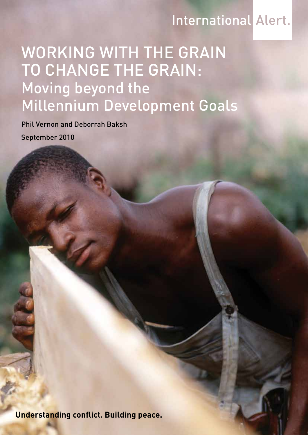# **International Alert.**

# WORKING WITH THE GRAIN TO CHANGE THE GRAIN: Moving beyond the Millennium Development Goals

Phil Vernon and Deborrah Baksh

September 2010

**Understanding conflict. Building peace.**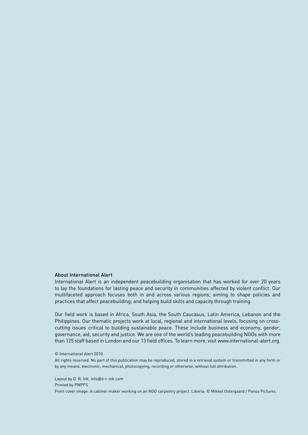#### About International Alert

International Alert is an independent peacebuilding organisation that has worked for over 20 years to lay the foundations for lasting peace and security in communities affected by violent conflict. Our multifaceted approach focuses both in and across various regions; aiming to shape policies and practices that affect peacebuilding; and helping build skills and capacity through training.

Our field work is based in Africa, South Asia, the South Caucasus, Latin America, Lebanon and the Philippines. Our thematic projects work at local, regional and international levels, focusing on crosscutting issues critical to building sustainable peace. These include business and economy, gender, governance, aid, security and justice. We are one of the world's leading peacebuilding NGOs with more than 125 staff based in London and our 13 field offices. To learn more, visit www.international-alert.org.

#### © International Alert 2010

All rights reserved. No part of this publication may be reproduced, stored in a retrieval system or transmitted in any form or by any means, electronic, mechanical, photocopying, recording or otherwise, without full attribution.

Layout by D. R. Ink, info@d-r-ink.com Printed by PWPFS Front cover image: A cabinet-maker working on an NGO carpentry project. Liberia. © Mikkel Ostergaard / Panos Pictures.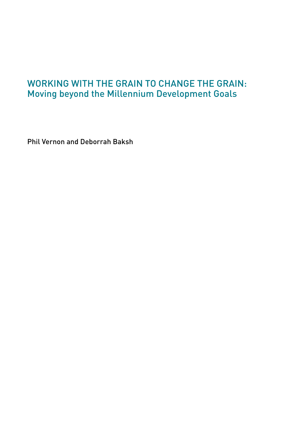# Working with the grain to change the grain: Moving beyond the Millennium Development Goals

Phil Vernon and Deborrah Baksh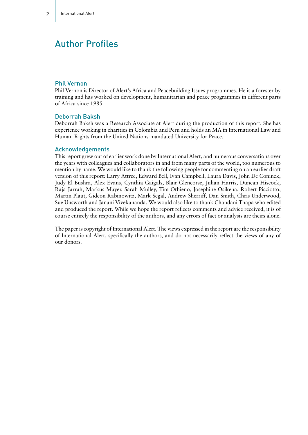# Author Profiles

#### Phil Vernon

Phil Vernon is Director of Alert's Africa and Peacebuilding Issues programmes. He is a forester by training and has worked on development, humanitarian and peace programmes in different parts of Africa since 1985.

#### Deborrah Baksh

Deborrah Baksh was a Research Associate at Alert during the production of this report. She has experience working in charities in Colombia and Peru and holds an MA in International Law and Human Rights from the United Nations-mandated University for Peace.

#### Acknowledgements

This report grew out of earlier work done by International Alert, and numerous conversations over the years with colleagues and collaborators in and from many parts of the world, too numerous to mention by name. We would like to thank the following people for commenting on an earlier draft version of this report: Larry Attree, Edward Bell, Ivan Campbell, Laura Davis, John De Coninck, Judy El Bushra, Alex Evans, Cynthia Gaigals, Blair Glencorse, Julian Harris, Duncan Hiscock, Raja Jarrah, Markus Mayer, Sarah Mulley, Tim Othieno, Josephine Osikena, Robert Picciotto, Martin Plaut, Gideon Rabinowitz, Mark Segal, Andrew Sherriff, Dan Smith, Chris Underwood, Sue Unsworth and Janani Vivekananda. We would also like to thank Chandani Thapa who edited and produced the report. While we hope the report reflects comments and advice received, it is of course entirely the responsibility of the authors, and any errors of fact or analysis are theirs alone.

The paper is copyright of International Alert. The views expressed in the report are the responsibility of International Alert, specifically the authors, and do not necessarily reflect the views of any of our donors.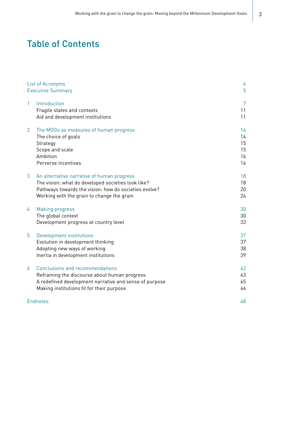# Table of Contents

|                | List of Acronyms                                       | 4  |
|----------------|--------------------------------------------------------|----|
|                | <b>Executive Summary</b>                               | 5  |
| $\mathbf{1}$   | Introduction                                           | 7  |
|                | Fragile states and contexts                            | 11 |
|                | Aid and development institutions                       | 11 |
| $\overline{2}$ | The MDGs as measures of human progress                 | 14 |
|                | The choice of goals                                    | 14 |
|                | Strategy                                               | 15 |
|                | Scope and scale                                        | 15 |
|                | Ambition                                               | 16 |
|                | Perverse incentives                                    | 16 |
| 3              | An alternative narrative of human progress             | 18 |
|                | The vision: what do developed societies look like?     | 18 |
|                | Pathways towards the vision: how do societies evolve?  | 20 |
|                | Working with the grain to change the grain             | 24 |
| 4              | <b>Making progress</b>                                 | 30 |
|                | The global context                                     | 30 |
|                | Development progress at country level                  | 33 |
| 5              | Development institutions                               | 37 |
|                | Evolution in development thinking                      | 37 |
|                | Adopting new ways of working                           | 38 |
|                | Inertia in development institutions                    | 39 |
| 6              | <b>Conclusions and recommendations</b>                 | 42 |
|                | Reframing the discourse about human progress           | 43 |
|                | A redefined development narrative and sense of purpose | 45 |
|                | Making institutions fit for their purpose              | 46 |
|                | <b>Endnotes</b>                                        | 48 |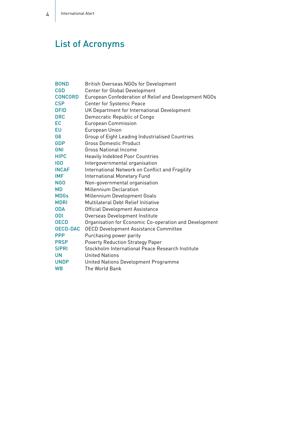# List of Acronyms

| <b>BOND</b>      | <b>British Overseas NGOs for Development</b>           |
|------------------|--------------------------------------------------------|
| <b>CGD</b>       | Center for Global Development                          |
| <b>CONCORD</b>   | European Confederation of Relief and Development NGOs  |
| <b>CSP</b>       | Center for Systemic Peace                              |
| <b>DFID</b>      | UK Department for International Development            |
| <b>DRC</b>       | Democratic Republic of Congo                           |
| EC               | <b>European Commission</b>                             |
| EU               | European Union                                         |
| G8               | Group of Eight Leading Industrialised Countries        |
| <b>GDP</b>       | <b>Gross Domestic Product</b>                          |
| <b>GNI</b>       | Gross National Income                                  |
| <b>HIPC</b>      | <b>Heavily Indebted Poor Countries</b>                 |
| <b>IGO</b>       | Intergovernmental organisation                         |
| <b>INCAF</b>     | International Network on Conflict and Fragility        |
| <b>IMF</b>       | <b>International Monetary Fund</b>                     |
| N <sub>G</sub> O | Non-governmental organisation                          |
| <b>MD</b>        | <b>Millennium Declaration</b>                          |
| <b>MDGs</b>      | Millennium Development Goals                           |
| <b>MDRI</b>      | Multilateral Debt Relief Initiative                    |
| <b>ODA</b>       | <b>Official Development Assistance</b>                 |
| <b>ODI</b>       | Overseas Development Institute                         |
| <b>OECD</b>      | Organisation for Economic Co-operation and Development |
| <b>OECD-DAC</b>  | <b>OECD Development Assistance Committee</b>           |
| <b>PPP</b>       | Purchasing power parity                                |
| <b>PRSP</b>      | <b>Poverty Reduction Strategy Paper</b>                |
| <b>SIPRI</b>     | Stockholm International Peace Research Institute       |
| <b>UN</b>        | <b>United Nations</b>                                  |
| <b>UNDP</b>      | United Nations Development Programme                   |
| <b>WB</b>        | The World Bank                                         |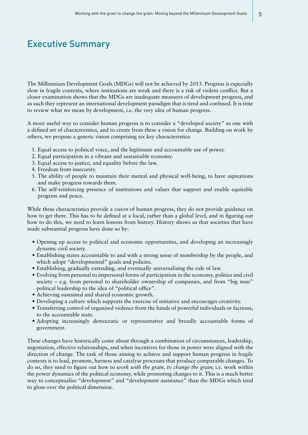# Executive Summary

The Millennium Development Goals (MDGs) will not be achieved by 2015. Progress is especially slow in fragile contexts, where institutions are weak and there is a risk of violent conflict. But a closer examination shows that the MDGs are inadequate measures of development progress, and as such they represent an international development paradigm that is tired and confused. It is time to review what we mean by development, i.e. the very idea of human progress.

A more useful way to consider human progress is to consider a "developed society" as one with a defined set of characteristics, and to create from these a vision for change. Building on work by others, we propose a generic vision comprising six key characteristics:

- 1. Equal access to political voice, and the legitimate and accountable use of power.
- 2. Equal participation in a vibrant and sustainable economy.
- 3. Equal access to justice, and equality before the law.
- 4. Freedom from insecurity.
- 5. The ability of people to maintain their mental and physical well-being, to have aspirations and make progress towards them.
- 6. The self-reinforcing presence of institutions and values that support and enable equitable progress and peace.

While these characteristics provide a *vision* of human progress, they do not provide guidance on how to get there. This has to be defined at a local, rather than a global level, and in figuring out how to do this, we need to learn lessons from history. History shows us that societies that have made substantial progress have done so by:

- Opening up access to political and economic opportunities, and developing an increasingly dynamic civil society.
- Establishing states accountable to and with a strong sense of membership by the people, and which adopt "developmental" goals and policies.
- • Establishing, gradually extending, and eventually universalising the rule of law.
- • Evolving from personal to impersonal forms of participation in the economy, politics and civil society – e.g. from personal to shareholder ownership of companies, and from "big man" political leadership to the idea of "political office".
- Achieving sustained and shared economic growth.
- • Developing a culture which supports the exercise of initiative and encourages creativity.
- • Transferring control of organised violence from the hands of powerful individuals or factions, to the accountable state.
- Adopting increasingly democratic or representative and broadly accountable forms of government.

These changes have historically come about through a combination of circumstances, leadership, negotiation, effective relationships, and when incentives for those in power were aligned with the direction of change. The task of those aiming to achieve and support human progress in fragile contexts is to lead, promote, harness and catalyse processes that produce comparable changes. To do so, they need to figure out how to *work with the grain, to change the grain*; i.e. work within the power dynamics of the political economy, while promoting changes to it. This is a much better way to conceptualise "development" and "development assistance" than the MDGs which tend to gloss over the political dimension.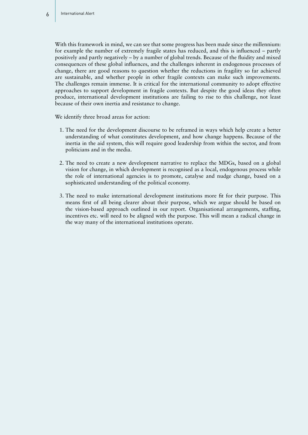With this framework in mind, we can see that some progress has been made since the millennium: for example the number of extremely fragile states has reduced, and this is influenced – partly positively and partly negatively – by a number of global trends. Because of the fluidity and mixed consequences of these global influences, and the challenges inherent in endogenous processes of change, there are good reasons to question whether the reductions in fragility so far achieved are sustainable, and whether people in other fragile contexts can make such improvements. The challenges remain immense. It is critical for the international community to adopt effective approaches to support development in fragile contexts. But despite the good ideas they often produce, international development institutions are failing to rise to this challenge, not least because of their own inertia and resistance to change.

We identify three broad areas for action:

- 1. The need for the development discourse to be reframed in ways which help create a better understanding of what constitutes development, and how change happens. Because of the inertia in the aid system, this will require good leadership from within the sector, and from politicians and in the media.
- 2. The need to create a new development narrative to replace the MDGs, based on a global vision for change, in which development is recognised as a local, endogenous process while the role of international agencies is to promote, catalyse and nudge change, based on a sophisticated understanding of the political economy.
- 3. The need to make international development institutions more fit for their purpose. This means first of all being clearer about their purpose, which we argue should be based on the vision-based approach outlined in our report. Organisational arrangements, staffing, incentives etc. will need to be aligned with the purpose. This will mean a radical change in the way many of the international institutions operate.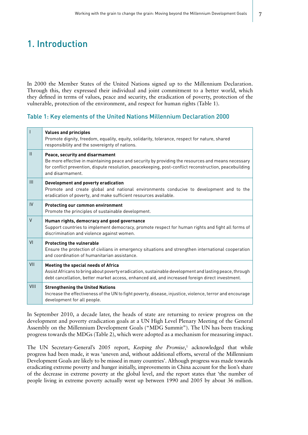# 1. Introduction

In 2000 the Member States of the United Nations signed up to the Millennium Declaration. Through this, they expressed their individual and joint commitment to a better world, which they defined in terms of values, peace and security, the eradication of poverty, protection of the vulnerable, protection of the environment, and respect for human rights (Table 1).

#### Table 1: Key elements of the United Nations Millennium Declaration 2000

| I                                     | <b>Values and principles</b><br>Promote dignity, freedom, equality, equity, solidarity, tolerance, respect for nature, shared<br>responsibility and the sovereignty of nations.                                                                                     |
|---------------------------------------|---------------------------------------------------------------------------------------------------------------------------------------------------------------------------------------------------------------------------------------------------------------------|
| $\begin{array}{c} \hline \end{array}$ | Peace, security and disarmament<br>Be more effective in maintaining peace and security by providing the resources and means necessary<br>for conflict prevention, dispute resolution, peacekeeping, post-conflict reconstruction, peacebuilding<br>and disarmament. |
| III                                   | Development and poverty eradication<br>Promote and create global and national environments conducive to development and to the<br>eradication of poverty, and make sufficient resources available.                                                                  |
| IV                                    | <b>Protecting our common environment</b><br>Promote the principles of sustainable development.                                                                                                                                                                      |
| $\vee$                                | Human rights, democracy and good governance<br>Support countries to implement democracy, promote respect for human rights and fight all forms of<br>discrimination and violence against women.                                                                      |
| VI                                    | <b>Protecting the vulnerable</b><br>Ensure the protection of civilians in emergency situations and strengthen international cooperation<br>and coordination of humanitarian assistance.                                                                             |
| VII                                   | Meeting the special needs of Africa<br>Assist Africans to bring about poverty eradication, sustainable development and lasting peace, through<br>debt cancellation, better market access, enhanced aid, and increased foreign direct investment.                    |
| VIII                                  | <b>Strengthening the United Nations</b><br>Increase the effectiveness of the UN to fight poverty, disease, injustice, violence, terror and encourage<br>development for all people.                                                                                 |

In September 2010, a decade later, the heads of state are returning to review progress on the development and poverty eradication goals at a UN High Level Plenary Meeting of the General Assembly on the Millennium Development Goals ("MDG Summit"). The UN has been tracking progress towards the MDGs (Table 2), which were adopted as a mechanism for measuring impact.

The UN Secretary-General's 2005 report, *Keeping the Promise*,<sup>1</sup> acknowledged that while progress had been made, it was 'uneven and, without additional efforts, several of the Millennium Development Goals are likely to be missed in many countries'. Although progress was made towards eradicating extreme poverty and hunger initially, improvements in China account for the lion's share of the decrease in extreme poverty at the global level, and the report states that 'the number of people living in extreme poverty actually went up between 1990 and 2005 by about 36 million.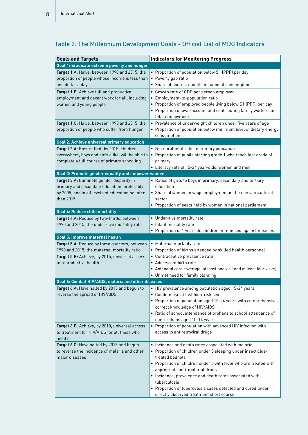| <b>Goals and Targets</b>                                                                                   | <b>Indicators for Monitoring Progress</b>                                                |  |
|------------------------------------------------------------------------------------------------------------|------------------------------------------------------------------------------------------|--|
| <b>Goal 1: Eradicate extreme poverty and hunger</b>                                                        |                                                                                          |  |
| Target 1.A: Halve, between 1990 and 2015, the                                                              | • Proportion of population below \$1 (PPP) per day                                       |  |
| proportion of people whose income is less than                                                             | • Poverty gap ratio                                                                      |  |
| one dollar a day                                                                                           | • Share of poorest quintile in national consumption                                      |  |
| Target 1.B: Achieve full and productive                                                                    | • Growth rate of GDP per person employed                                                 |  |
| employment and decent work for all, including                                                              | • Employment-to-population ratio                                                         |  |
| women and young people                                                                                     | • Proportion of employed people living below \$1 (PPP) per day                           |  |
|                                                                                                            | • Proportion of own-account and contributing family workers in                           |  |
|                                                                                                            | total employment                                                                         |  |
| Target 1.C: Halve, between 1990 and 2015, the                                                              | • Prevalence of underweight children under five years of age                             |  |
| proportion of people who suffer from hunger                                                                | • Proportion of population below minimum level of dietary energy                         |  |
|                                                                                                            | consumption                                                                              |  |
| <b>Goal 2: Achieve universal primary education</b>                                                         |                                                                                          |  |
| Target 2.A: Ensure that, by 2015, children                                                                 | • Net enrolment ratio in primary education                                               |  |
| everywhere, boys and girls alike, will be able to<br>complete a full course of primary schooling           | • Proportion of pupils starting grade 1 who reach last grade of<br>primary               |  |
|                                                                                                            | • Literacy rate of 15-24 year-olds, women and men                                        |  |
| Goal 3: Promote gender equality and empower women                                                          |                                                                                          |  |
| Target 3.A: Eliminate gender disparity in                                                                  | • Ratios of girls to boys in primary, secondary and tertiary                             |  |
| primary and secondary education, preferably                                                                | education                                                                                |  |
| by 2005, and in all levels of education no later                                                           | • Share of women in wage employment in the non-agricultural                              |  |
| than 2015                                                                                                  | sector                                                                                   |  |
|                                                                                                            | • Proportion of seats held by women in national parliament                               |  |
| <b>Goal 4: Reduce child mortality</b>                                                                      |                                                                                          |  |
| Target 4.A: Reduce by two-thirds, between                                                                  | • Under-five mortality rate                                                              |  |
| 1990 and 2015, the under-five mortality rate                                                               | • Infant mortality rate                                                                  |  |
|                                                                                                            | • Proportion of 1 year-old children immunised against measles                            |  |
| Goal 5: Improve maternal health                                                                            |                                                                                          |  |
| Target 5.A: Reduce by three quarters, between                                                              | • Maternal mortality ratio                                                               |  |
| 1990 and 2015, the maternal mortality ratio                                                                | • Proportion of births attended by skilled health personnel                              |  |
| Target 5.B: Achieve, by 2015, universal access                                                             | • Contraceptive prevalence rate                                                          |  |
| to reproductive health                                                                                     | • Adolescent birth rate                                                                  |  |
|                                                                                                            | • Antenatal care coverage (at least one visit and at least four visits)                  |  |
|                                                                                                            | • Unmet need for family planning                                                         |  |
| Goal 6: Combat HIV/AIDS, malaria and other diseases<br><b>Target 6.A:</b> Have halted by 2015 and begun to |                                                                                          |  |
| reverse the spread of HIV/AIDS                                                                             | • HIV prevalence among population aged 15-24 years<br>• Condom use at last high-risk sex |  |
|                                                                                                            | • Proportion of population aged 15-24 years with comprehensive                           |  |
|                                                                                                            | correct knowledge of HIV/AIDS                                                            |  |
|                                                                                                            | • Ratio of school attendance of orphans to school attendance of                          |  |
|                                                                                                            | non-orphans aged 10-14 years                                                             |  |
| Target 6.B: Achieve, by 2010, universal access                                                             | • Proportion of population with advanced HIV infection with                              |  |
| to treatment for HIV/AIDS for all those who                                                                | access to antiretroviral drugs                                                           |  |
| need it                                                                                                    |                                                                                          |  |
| Target 6.C: Have halted by 2015 and begun                                                                  | • Incidence and death rates associated with malaria                                      |  |
| to reverse the incidence of malaria and other                                                              | · Proportion of children under 5 sleeping under insecticide-                             |  |
| major diseases                                                                                             | treated bednets                                                                          |  |
|                                                                                                            | • Proportion of children under 5 with fever who are treated with                         |  |
|                                                                                                            | appropriate anti-malarial drugs                                                          |  |
|                                                                                                            | • Incidence, prevalence and death rates associated with                                  |  |
|                                                                                                            | tuberculosis                                                                             |  |
|                                                                                                            | • Proportion of tuberculosis cases detected and cured under                              |  |
|                                                                                                            | directly observed treatment short course                                                 |  |

# Table 2: The Millennium Development Goals - Official List of MDG Indicators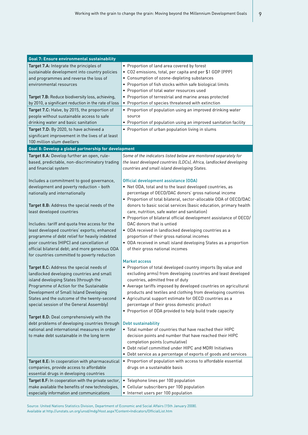| Goal 7: Ensure environmental sustainability                                           |                                                                                                                                |
|---------------------------------------------------------------------------------------|--------------------------------------------------------------------------------------------------------------------------------|
| Target 7.A: Integrate the principles of                                               | • Proportion of land area covered by forest                                                                                    |
| sustainable development into country policies                                         | • CO2 emissions, total, per capita and per \$1 GDP (PPP)                                                                       |
| and programmes and reverse the loss of                                                | • Consumption of ozone-depleting substances                                                                                    |
| environmental resources                                                               | • Proportion of fish stocks within safe biological limits                                                                      |
|                                                                                       | • Proportion of total water resources used                                                                                     |
| Target 7.B: Reduce biodiversity loss, achieving,                                      | • Proportion of terrestrial and marine areas protected                                                                         |
| by 2010, a significant reduction in the rate of loss                                  | • Proportion of species threatened with extinction                                                                             |
| Target 7.C: Halve, by 2015, the proportion of                                         | • Proportion of population using an improved drinking water                                                                    |
| people without sustainable access to safe                                             | source                                                                                                                         |
| drinking water and basic sanitation                                                   | • Proportion of population using an improved sanitation facility                                                               |
| Target 7.D: By 2020, to have achieved a                                               | • Proportion of urban population living in slums                                                                               |
| significant improvement in the lives of at least                                      |                                                                                                                                |
| 100 million slum dwellers                                                             |                                                                                                                                |
| Goal 8: Develop a global partnership for development                                  |                                                                                                                                |
| Target 8.A: Develop further an open, rule-                                            | Some of the indicators listed below are monitored separately for                                                               |
| based, predictable, non-discriminatory trading                                        | the least developed countries (LDCs), Africa, landlocked developing                                                            |
| and financial system                                                                  | countries and small island developing States.                                                                                  |
|                                                                                       |                                                                                                                                |
| Includes a commitment to good governance,                                             | Official development assistance (ODA)                                                                                          |
| development and poverty reduction - both                                              | • Net ODA, total and to the least developed countries, as                                                                      |
| nationally and internationally                                                        | percentage of OECD/DAC donors' gross national income                                                                           |
|                                                                                       | • Proportion of total bilateral, sector-allocable ODA of OECD/DAC                                                              |
| Target 8.B: Address the special needs of the                                          | donors to basic social services (basic education, primary health                                                               |
| least developed countries                                                             | care, nutrition, safe water and sanitation)                                                                                    |
|                                                                                       | • Proportion of bilateral official development assistance of OECD/                                                             |
| Includes: tariff and quota free access for the                                        | DAC donors that is untied                                                                                                      |
| least developed countries' exports; enhanced                                          | · ODA received in landlocked developing countries as a                                                                         |
| programme of debt relief for heavily indebted                                         | proportion of their gross national incomes                                                                                     |
| poor countries (HIPC) and cancellation of                                             | • ODA received in small island developing States as a proportion                                                               |
| official bilateral debt; and more generous ODA                                        | of their gross national incomes                                                                                                |
| for countries committed to poverty reduction                                          | Market access                                                                                                                  |
|                                                                                       |                                                                                                                                |
| Target 8.C: Address the special needs of<br>landlocked developing countries and small | • Proportion of total developed country imports (by value and<br>excluding arms) from developing countries and least developed |
| island developing States (through the                                                 | countries, admitted free of duty                                                                                               |
| Programme of Action for the Sustainable                                               | • Average tariffs imposed by developed countries on agricultural                                                               |
| Development of Small Island Developing                                                | products and textiles and clothing from developing countries                                                                   |
| States and the outcome of the twenty-second                                           | • Agricultural support estimate for OECD countries as a                                                                        |
| special session of the General Assembly)                                              | percentage of their gross domestic product                                                                                     |
|                                                                                       | • Proportion of ODA provided to help build trade capacity                                                                      |
| Target 8.D: Deal comprehensively with the                                             |                                                                                                                                |
| debt problems of developing countries through                                         | <b>Debt sustainability</b>                                                                                                     |
| national and international measures in order                                          | • Total number of countries that have reached their HIPC                                                                       |
| to make debt sustainable in the long term                                             | decision points and number that have reached their HIPC                                                                        |
|                                                                                       | completion points (cumulative)                                                                                                 |
|                                                                                       | • Debt relief committed under HIPC and MDRI Initiatives                                                                        |
|                                                                                       | • Debt service as a percentage of exports of goods and services                                                                |
| Target 8.E: In cooperation with pharmaceutical                                        | • Proportion of population with access to affordable essential                                                                 |
| companies, provide access to affordable                                               | drugs on a sustainable basis                                                                                                   |
| essential drugs in developing countries                                               |                                                                                                                                |
| Target 8.F: In cooperation with the private sector,                                   | • Telephone lines per 100 population                                                                                           |
| make available the benefits of new technologies,                                      | • Cellular subscribers per 100 population                                                                                      |
| especially information and communications                                             | • Internet users per 100 population                                                                                            |
|                                                                                       |                                                                                                                                |

Source: United Nations Statistics Division, Department of Economic and Social Affairs (15th January 2008). Available at http://unstats.un.org/unsd/mdg/Host.aspx?Content=Indicators/OfficialList.htm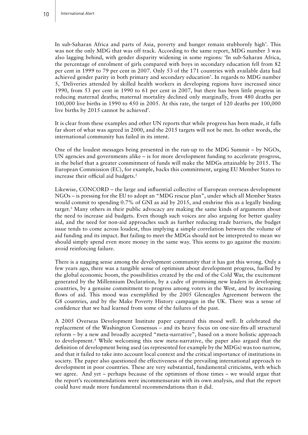In sub-Saharan Africa and parts of Asia, poverty and hunger remain stubbornly high'. This was not the only MDG that was off track. According to the same report, MDG number 3 was also lagging behind, with gender disparity widening in some regions: 'In sub-Saharan Africa, the percentage of enrolment of girls compared with boys in secondary education fell from 82 per cent in 1999 to 79 per cent in 2007. Only 53 of the 171 countries with available data had achieved gender parity in both primary and secondary education'. In regards to MDG number 5, 'Deliveries attended by skilled health workers in developing regions have increased since 1990, from 53 per cent in 1990 to 61 per cent in 2007, but there has been little progress in reducing maternal deaths; maternal mortality declined only marginally, from 480 deaths per 100,000 live births in 1990 to 450 in 2005. At this rate, the target of 120 deaths per 100,000 live births by 2015 cannot be achieved'.

It is clear from these examples and other UN reports that while progress has been made, it falls far short of what was agreed in 2000, and the 2015 targets will not be met. In other words, the international community has failed in its intent.

One of the loudest messages being presented in the run-up to the MDG Summit – by NGOs, UN agencies and governments alike – is for more development funding to accelerate progress, in the belief that a greater commitment of funds will make the MDGs attainable by 2015. The European Commission (EC), for example, backs this commitment, urging EU Member States to increase their official aid budgets.<sup>2</sup>

Likewise, CONCORD – the large and influential collective of European overseas development NGOs – is pressing for the EU to adopt an "MDG rescue plan", under which all Member States would commit to spending 0.7% of GNI as aid by 2015, and enshrine this as a legally binding target.3 Many others in their public advocacy are making the same kinds of arguments about the need to increase aid budgets. Even though such voices are also arguing for better quality aid, and the need for non-aid approaches such as further reducing trade barriers, the budget issue tends to come across loudest, thus implying a simple correlation between the volume of aid funding and its impact. But failing to meet the MDGs should not be interpreted to mean we should simply spend even more money in the same way. This seems to go against the maxim: avoid reinforcing failure.

There is a nagging sense among the development community that it has got this wrong. Only a few years ago, there was a tangible sense of optimism about development progress, fuelled by the global economic boom, the possibilities created by the end of the Cold War, the excitement generated by the Millennium Declaration, by a cadre of promising new leaders in developing countries, by a genuine commitment to progress among voters in the West, and by increasing flows of aid. This mood was exemplified by the 2005 Gleneagles Agreement between the G8 countries, and by the Make Poverty History campaign in the UK. There was a sense of confidence that we had learned from some of the failures of the past.

A 2005 Overseas Development Institute paper captured this mood well. It celebrated the replacement of the Washington Consensus – and its heavy focus on one-size-fits-all structural reform – by a new and broadly accepted "meta-narrative", based on a more holistic approach to development.4 While welcoming this new meta-narrative, the paper also argued that the definition of development being used (as represented for example by the MDGs) was too narrow, and that it failed to take into account local context and the critical importance of institutions in society. The paper also questioned the effectiveness of the prevailing international approach to development in poor countries. These are very substantial, fundamental criticisms, with which we agree. And yet – perhaps because of the optimism of those times – we would argue that the report's recommendations were incommensurate with its own analysis, and that the report could have made more fundamental recommendations than it did.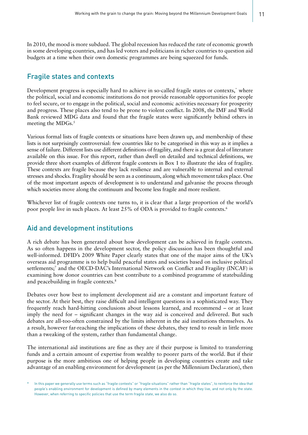In 2010, the mood is more subdued. The global recession has reduced the rate of economic growth in some developing countries, and has led voters and politicians in richer countries to question aid budgets at a time when their own domestic programmes are being squeezed for funds.

### Fragile states and contexts

Development progress is especially hard to achieve in so-called fragile states or contexts, where the political, social and economic institutions do not provide reasonable opportunities for people to feel secure, or to engage in the political, social and economic activities necessary for prosperity and progress. These places also tend to be prone to violent conflict. In 2008, the IMF and World Bank reviewed MDG data and found that the fragile states were significantly behind others in meeting the MDGs. $5$ 

Various formal lists of fragile contexts or situations have been drawn up, and membership of these lists is not surprisingly controversial: few countries like to be categorised in this way as it implies a sense of failure. Different lists use different definitions of fragility, and there is a great deal of literature available on this issue. For this report, rather than dwell on detailed and technical definitions, we provide three short examples of different fragile contexts in Box 1 to illustrate the idea of fragility. These contexts are fragile because they lack resilience and are vulnerable to internal and external stresses and shocks. Fragility should be seen as a continuum, along which movement takes place. One of the most important aspects of development is to understand and galvanise the process through which societies move along the continuum and become less fragile and more resilient.

Whichever list of fragile contexts one turns to, it is clear that a large proportion of the world's poor people live in such places. At least 25% of ODA is provided to fragile contexts.<sup>6</sup>

#### Aid and development institutions

A rich debate has been generated about how development can be achieved in fragile contexts. As so often happens in the development sector, the policy discussion has been thoughtful and well-informed. DFID's 2009 White Paper clearly states that one of the major aims of the UK's overseas aid programme is to help build peaceful states and societies based on inclusive political settlements;<sup>7</sup> and the OECD-DAC's International Network on Conflict and Fragility (INCAF) is examining how donor countries can best contribute to a combined programme of statebuilding and peacebuilding in fragile contexts.8

Debates over how best to implement development aid are a constant and important feature of the sector. At their best, they raise difficult and intelligent questions in a sophisticated way. They frequently reach hard-hitting conclusions about lessons learned, and recommend – or at least imply the need for – significant changes in the way aid is conceived and delivered. But such debates are all-too-often constrained by the limits inherent in the aid institutions themselves. As a result, however far-reaching the implications of these debates, they tend to result in little more than a tweaking of the system, rather than fundamental change.

The international aid institutions are fine as they are if their purpose is limited to transferring funds and a certain amount of expertise from wealthy to poorer parts of the world. But if their purpose is the more ambitious one of helping people in developing countries create and take advantage of an enabling environment for development (as per the Millennium Declaration), then

In this paper we generally use terms such as "fragile contexts" or "fragile situations" rather than "fragile states", to reinforce the idea that people's enabling environment for development is defined by many elements in the context in which they live, and not only by the state. However, when referring to specific policies that use the term fragile state, we also do so.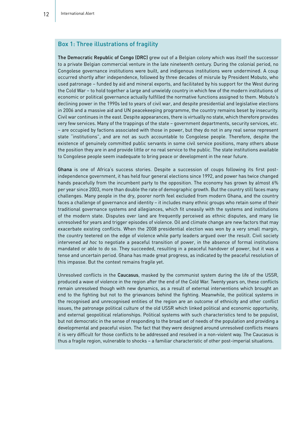#### Box 1: Three illustrations of fragility

The Democratic Republic of Congo (DRC) grew out of a Belgian colony which was itself the successor to a private Belgian commercial venture in the late nineteenth century. During the colonial period, no Congolese governance institutions were built, and indigenous institutions were undermined. A coup occurred shortly after independence, followed by three decades of misrule by President Mobuto, who used patronage – funded by aid and mineral exports, and facilitated by his support for the West during the Cold War – to hold together a large and unwieldy country in which few of the modern institutions of economic or political governance actually fulfilled the normative functions assigned to them. Mobuto's declining power in the 1990s led to years of civil war, and despite presidential and legislative elections in 2006 and a massive aid and UN peacekeeping programme, the country remains beset by insecurity. Civil war continues in the east. Despite appearances, there is virtually no state, which therefore provides very few services. Many of the trappings of the state – government departments, security services, etc. – are occupied by factions associated with those in power, but they do not in any real sense represent state "institutions", and are not as such accountable to Congolese people. Therefore, despite the existence of genuinely committed public servants in some civil service positions, many others abuse the position they are in and provide little or no real service to the public. The state institutions available to Congolese people seem inadequate to bring peace or development in the near future.

Ghana is one of Africa's success stories. Despite a succession of coups following its first postindependence government, it has held four general elections since 1992, and power has twice changed hands peacefully from the incumbent party to the opposition. The economy has grown by almost 6% per year since 2003, more than double the rate of demographic growth. But the country still faces many challenges. Many people in the dry, poorer north feel excluded from modern Ghana, and the country faces a challenge of governance and identity – it includes many ethnic groups who retain some of their traditional governance systems and allegiances, which fit uneasily with the systems and institutions of the modern state. Disputes over land are frequently perceived as ethnic disputes, and many lie unresolved for years and trigger episodes of violence. Oil and climate change are new factors that may exacerbate existing conflicts. When the 2008 presidential election was won by a very small margin, the country teetered on the edge of violence while party leaders argued over the result. Civil society intervened *ad hoc* to negotiate a peaceful transition of power, in the absence of formal institutions mandated or able to do so. They succeeded, resulting in a peaceful handover of power, but it was a tense and uncertain period. Ghana has made great progress, as indicated by the peaceful resolution of this impasse. But the context remains fragile yet.

Unresolved conflicts in the Caucasus, masked by the communist system during the life of the USSR, produced a wave of violence in the region after the end of the Cold War. Twenty years on, these conflicts remain unresolved though with new dynamics, as a result of external interventions which brought an end to the fighting but not to the grievances behind the fighting. Meanwhile, the political systems in the recognised and unrecognised entities of the region are an outcome of ethnicity and other conflict issues, the patronage political culture of the old USSR which linked political and economic opportunity, and external geopolitical relationships. Political systems with such characteristics tend to be populist, but not democratic in the sense of responding to the broad set of needs of the population and providing a developmental and peaceful vision. The fact that they were designed around unresolved conflicts means it is very difficult for those conflicts to be addressed and resolved in a non-violent way. The Caucasus is thus a fragile region, vulnerable to shocks – a familiar characteristic of other post-imperial situations.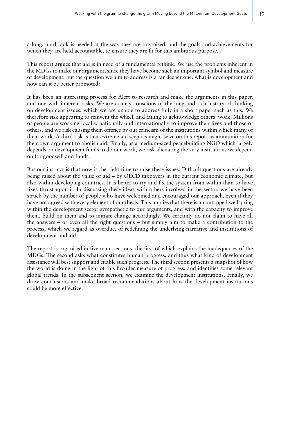a long, hard look is needed at the way they are organised, and the goals and achievements for which they are held accountable, to ensure they are fit for this ambitious purpose.

This report argues that aid is in need of a fundamental rethink. We use the problems inherent in the MDGs to make our argument, since they have become such an important symbol and measure of development, but the question we aim to address is a far deeper one: what is development and how can it be better promoted?

It has been an interesting process for Alert to research and make the arguments in this paper, and one with inherent risks. We are acutely conscious of the long and rich history of thinking on development issues, which we are unable to address fully in a short paper such as this. We therefore risk appearing to reinvent the wheel, and failing to acknowledge others' work. Millions of people are working locally, nationally and internationally to improve their lives and those of others, and we risk causing them offence by our criticism of the institutions within which many of them work. A third risk is that extreme aid sceptics might seize on this report as ammunition for their own argument to abolish aid. Finally, as a medium-sized peacebuilding NGO which largely depends on development funds to do our work, we risk alienating the very institutions we depend on for goodwill and funds.

But our instinct is that now is the right time to raise these issues. Difficult questions are already being raised about the value of aid – by OECD taxpayers in the current economic climate, but also within developing countries. It is better to try and fix the system from within than to have fixes thrust upon it. In discussing these ideas with others involved in the sector, we have been struck by the number of people who have welcomed and encouraged our approach, even if they have not agreed with every element of our thesis. This implies that there is an untapped wellspring within the development sector sympathetic to our arguments, and with the capacity to improve them, build on them and to initiate change accordingly. We certainly do not claim to have all the answers – or even all the right questions – but simply aim to make a contribution to the process, which we regard as overdue, of redefining the underlying narrative and institutions of development and aid.

The report is organised in five main sections, the first of which explains the inadequacies of the MDGs. The second asks what constitutes human progress, and thus what kind of development assistance will best support and enable such progress. The third section presents a snapshot of how the world is doing in the light of this broader measure of progress, and identifies some relevant global trends. In the subsequent section, we examine the development institutions. Finally, we draw conclusions and make broad recommendations about how the development institutions could be more effective.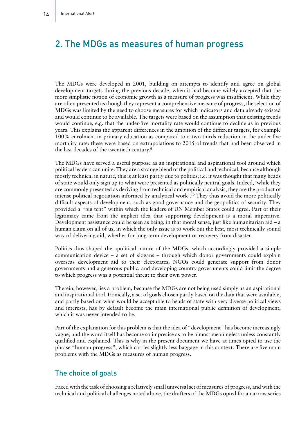# 2. The MDGs as measures of human progress

The MDGs were developed in 2001, building on attempts to identify and agree on global development targets during the previous decade, when it had become widely accepted that the more simplistic notion of economic growth as a measure of progress was insufficient. While they are often presented as though they represent a comprehensive measure of progress, the selection of MDGs was limited by the need to choose measures for which indicators and data already existed and would continue to be available. The targets were based on the assumption that existing trends would continue, e.g. that the under-five mortality rate would continue to decline as in previous years. This explains the apparent differences in the ambition of the different targets, for example 100% enrolment in primary education as compared to a two-thirds reduction in the under-five mortality rate: these were based on extrapolations to 2015 of trends that had been observed in the last decades of the twentieth century.<sup>9</sup>

The MDGs have served a useful purpose as an inspirational and aspirational tool around which political leaders can unite. They are a strange blend of the political and technical, because although mostly technical in nature, this is at least partly due to politics; i.e. it was thought that many heads of state would only sign up to what were presented as politically neutral goals. Indeed, 'while they are commonly presented as deriving from technical and empirical analysis, they are the product of intense political negotiation informed by analytical work'.10 They thus avoid the more politically difficult aspects of development, such as good governance and the geopolitics of security. They provided a "big tent" within which the leaders of UN Member States could agree. Part of their legitimacy came from the implicit idea that supporting development is a moral imperative. Development assistance could be seen as being, in that moral sense, just like humanitarian aid – a human claim on all of us, in which the only issue is to work out the best, most technically sound way of delivering aid, whether for long-term development or recovery from disaster.

Politics thus shaped the apolitical nature of the MDGs, which accordingly provided a simple communication device – a set of slogans – through which donor governments could explain overseas development aid to their electorates, NGOs could generate support from donor governments and a generous public, and developing country governments could limit the degree to which progress was a potential threat to their own power.

Therein, however, lies a problem, because the MDGs are not being used simply as an aspirational and inspirational tool. Ironically, a set of goals chosen partly based on the data that were available, and partly based on what would be acceptable to heads of state with very diverse political views and interests, has by default become the main international public definition of development, which it was never intended to be.

Part of the explanation for this problem is that the idea of "development" has become increasingly vague, and the word itself has become so imprecise as to be almost meaningless unless constantly qualified and explained. This is why in the present document we have at times opted to use the phrase "human progress", which carries slightly less baggage in this context. There are five main problems with the MDGs as measures of human progress.

#### The choice of goals

Faced with the task of choosing a relatively small universal set of measures of progress, and with the technical and political challenges noted above, the drafters of the MDGs opted for a narrow series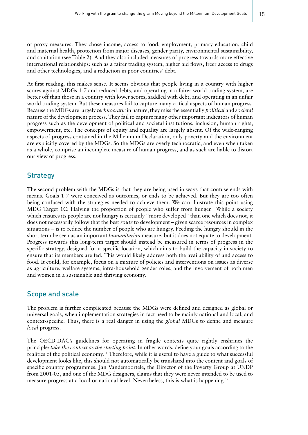of proxy measures. They chose income, access to food, employment, primary education, child and maternal health, protection from major diseases, gender parity, environmental sustainability, and sanitation (see Table 2). And they also included measures of progress towards more effective international relationships: such as a fairer trading system, higher aid flows, freer access to drugs and other technologies, and a reduction in poor countries' debt.

At first reading, this makes sense. It seems obvious that people living in a country with higher scores against MDGs 1-7 and reduced debts, and operating in a fairer world trading system, are better off than those in a country with lower scores, saddled with debt, and operating in an unfair world trading system. But these measures fail to capture many critical aspects of human progress. Because the MDGs are largely *technocratic* in nature, they miss the essentially *political* and *societal*  nature of the development process. They fail to capture many other important indicators of human progress such as the development of political and societal institutions, inclusion, human rights, empowerment, etc. The concepts of equity and equality are largely absent. Of the wide-ranging aspects of progress contained in the Millennium Declaration, only poverty and the environment are explicitly covered by the MDGs. So the MDGs are overly technocratic, and even when taken as a whole, comprise an incomplete measure of human progress, and as such are liable to distort our view of progress.

### **Strategy**

The second problem with the MDGs is that they are being used in ways that confuse ends with means. Goals 1-7 were conceived as outcomes, or ends to be achieved. But they are too often being confused with the strategies needed to achieve them. We can illustrate this point using MDG Target 1C: Halving the proportion of people who suffer from hunger. While a society which ensures its people are not hungry is certainly "more developed" than one which does not, it does not necessarily follow that the best *route* to development – given scarce resources in complex situations – is to reduce the number of people who are hungry. Feeding the hungry should in the short term be seen as an important *humanitarian* measure, but it does not equate to development. Progress towards this long-term target should instead be measured in terms of progress in the specific strategy, designed for a specific location, which aims to build the capacity in society to ensure that its members are fed. This would likely address both the availability of and access to food. It could, for example, focus on a mixture of policies and interventions on issues as diverse as agriculture, welfare systems, intra-household gender roles, and the involvement of both men and women in a sustainable and thriving economy.

### Scope and scale

The problem is further complicated because the MDGs were defined and designed as global or universal goals, when implementation strategies in fact need to be mainly national and local, and context-specific. Thus, there is a real danger in using the *global* MDGs to define and measure *local* progress.

The OECD-DAC's guidelines for operating in fragile contexts quite rightly enshrines the principle: *take the context as the starting point*. In other words, define your goals according to the realities of the political economy.<sup>11</sup> Therefore, while it is useful to have a guide to what successful development looks like, this should not automatically be translated into the content and goals of specific country programmes. Jan Vandemoortele, the Director of the Poverty Group at UNDP from 2001-05, and one of the MDG designers, claims that they were never intended to be used to measure progress at a local or national level. Nevertheless, this is what is happening.<sup>12</sup>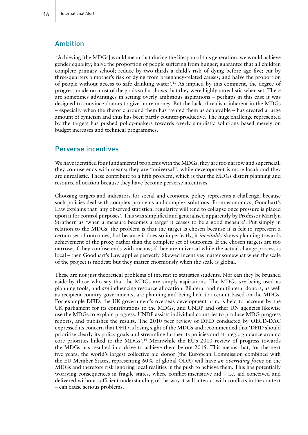#### Ambition

 'Achieving [the MDGs] would mean that during the lifespan of this generation, we would achieve gender equality; halve the proportion of people suffering from hunger; guarantee that all children complete primary school; reduce by two-thirds a child's risk of dying before age five; cut by three-quarters a mother's risk of dying from pregnancy-related causes; and halve the proportion of people without access to safe drinking water'.13 As implied by this comment, the degree of progress made on most of the goals so far shows that they were highly unrealistic when set. There are sometimes advantages in setting overly ambitious aspirations – perhaps in this case it was designed to convince donors to give more money. But the lack of realism inherent in the MDGs – especially when the rhetoric around them has treated them as achievable – has created a large amount of cynicism and thus has been partly counter-productive. The huge challenge represented by the targets has pushed policy-makers towards overly simplistic solutions based merely on budget increases and technical programmes.

#### Perverse incentives

We have identified four fundamental problems with the MDGs: they are too narrow and superficial; they confuse ends with means; they are "universal", while development is more local; and they are unrealistic. These contribute to a fifth problem, which is that the MDGs distort planning and resource allocation because they have become perverse incentives.

Choosing targets and indicators for social and economic policy represents a challenge, because such policies deal with complex problems and complex solutions. From economics, Goodhart's Law explains that 'any observed statistical regularity will tend to collapse once pressure is placed upon it for control purposes'. This was simplified and generalised apparently by Professor Marilyn Strathern as 'when a measure becomes a target it ceases to be a good measure'. Put simply in relation to the MDGs: the problem is that the target is chosen because it is felt to represent a certain set of outcomes, but because it does so imperfectly, it *inevitably* skews planning towards achievement of the proxy rather than the complete set of outcomes. If the chosen targets are too narrow; if they confuse ends with means; if they are universal while the actual change process is local – then Goodhart's Law applies perfectly. Skewed incentives matter somewhat when the scale of the project is modest: but they matter enormously when the scale is global.

These are not just theoretical problems of interest to statistics students. Nor can they be brushed aside by those who say that the MDGs are simply aspirations. The MDGs *are* being used as planning tools, and *are* influencing resource allocation. Bilateral and multilateral donors, as well as recipient country governments, are planning and being held to account based on the MDGs. For example DFID, the UK government's overseas development arm, is held to account by the UK parliament for its contributions to the MDGs, and UNDP and other UN agencies likewise use the MDGs to explain progress. UNDP assists individual countries to produce MDG progress reports, and publishes the results. The 2010 peer review of DFID conducted by OECD-DAC expressed its concern that DFID is losing sight of the MDGs and recommended that 'DFID should prioritise clearly its policy goals and streamline further its policies and strategic guidance around core priorities linked to the MDGs'.14 Meanwhile the EU's 2010 review of progress towards the MDGs has resulted in a drive to achieve them before 2015. This means that, for the next five years, the world's largest collective aid donor (the European Commission combined with the EU Member States, representing 60% of global ODA) will have *an overriding focus* on the MDGs and therefore risk ignoring local realities in the push to achieve them. This has potentially worrying consequences in fragile states, where conflict-insensitive aid – i.e. aid conceived and delivered without sufficient understanding of the way it will interact with conflicts in the context – can cause serious problems.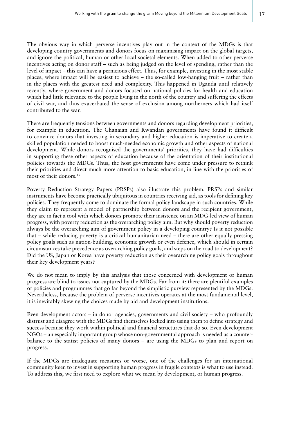The obvious way in which perverse incentives play out in the context of the MDGs is that developing country governments and donors focus on maximising impact on the global targets, and ignore the political, human or other local societal elements. When added to other perverse incentives acting on donor staff – such as being judged on the level of spending, rather than the level of impact – this can have a pernicious effect. Thus, for example, investing in the most stable places, where impact will be easiest to achieve – the so-called low-hanging fruit – rather than in the places with the greatest need and complexity. This happened in Uganda until relatively recently, where government and donors focused on national policies for health and education which had little relevance to the people living in the north of the country and suffering the effects of civil war, and thus exacerbated the sense of exclusion among northerners which had itself contributed to the war.

There are frequently tensions between governments and donors regarding development priorities, for example in education. The Ghanaian and Rwandan governments have found it difficult to convince donors that investing in secondary and higher education is imperative to create a skilled population needed to boost much-needed economic growth and other aspects of national development. While donors recognised the governments' priorities, they have had difficulties in supporting these other aspects of education because of the orientation of their institutional policies towards the MDGs. Thus, the host governments have come under pressure to rethink their priorities and direct much more attention to basic education, in line with the priorities of most of their donors.<sup>15</sup>

Poverty Reduction Strategy Papers (PRSPs) also illustrate this problem. PRSPs and similar instruments have become practically ubiquitous in countries receiving aid, as tools for defining key policies. They frequently come to dominate the formal policy landscape in such countries. While they claim to represent a model of partnership between donors and the recipient government, they are in fact a tool with which donors promote their insistence on an MDG-led view of human progress, with poverty reduction as the overarching policy aim. But why should poverty reduction always be the overarching aim of government policy in a developing country? Is it not possible that – while reducing poverty is a critical humanitarian need – there are other equally pressing policy goals such as nation-building, economic growth or even defence, which should in certain circumstances take precedence as overarching policy goals, and steps on the road to development? Did the US, Japan or Korea have poverty reduction as their overarching policy goals throughout their key development years?

We do not mean to imply by this analysis that those concerned with development or human progress are blind to issues not captured by the MDGs. Far from it: there are plentiful examples of policies and programmes that go far beyond the simplistic purview represented by the MDGs. Nevertheless, because the problem of perverse incentives operates at the most fundamental level, it is inevitably skewing the choices made by aid and development institutions.

Even development actors – in donor agencies, governments and civil society – who profoundly distrust and disagree with the MDGs find themselves locked into using them to define strategy and success because they work within political and financial structures that do so. Even development NGOs – an especially important group whose non-governmental approach is needed as a counterbalance to the statist policies of many donors – are using the MDGs to plan and report on progress.

If the MDGs are inadequate measures or worse, one of the challenges for an international community keen to invest in supporting human progress in fragile contexts is what to use instead. To address this, we first need to explore what we mean by development, or human progress.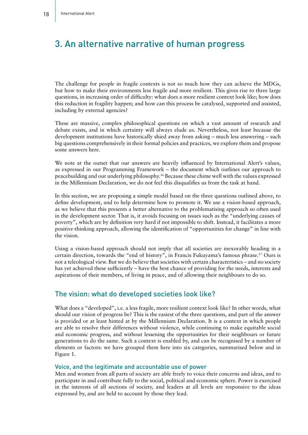# 3. An alternative narrative of human progress

The challenge for people in fragile contexts is not so much how they can achieve the MDGs, but how to make their environments less fragile and more resilient. This gives rise to three large questions, in increasing order of difficulty: what does a more resilient context look like; how does this reduction in fragility happen; and how can this process be catalysed, supported and assisted, including by external agencies?

These are massive, complex philosophical questions on which a vast amount of research and debate exists, and in which certainty will always elude us. Nevertheless, not least because the development institutions have historically shied away from asking – much less answering – such big questions comprehensively in their formal policies and practices, we explore them and propose some answers here.

We note at the outset that our answers are heavily influenced by International Alert's values, as expressed in our Programming Framework – the document which outlines our approach to peacebuilding and our underlying philosophy.16 Because these chime well with the values expressed in the Millennium Declaration, we do not feel this disqualifies us from the task at hand.

In this section, we are proposing a simple model based on the three questions outlined above, to define development, and to help determine how to promote it. We use a vision-based approach, as we believe that this presents a better alternative to the problematising approach so often used in the development sector. That is, it avoids focusing on issues such as the "underlying causes of poverty", which are by definition very hard if not impossible to shift. Instead, it facilitates a more positive-thinking approach, allowing the identification of "opportunities for change" in line with the vision.

Using a vision-based approach should not imply that all societies are inexorably heading in a certain direction, towards the "end of history", in Francis Fukuyama's famous phrase.17 Ours is not a teleological view. But we do believe that societies with certain characteristics – and no society has yet achieved these sufficiently – have the best chance of providing for the needs, interests and aspirations of their members, of living in peace, and of allowing their neighbours to do so.

### The vision: what do developed societies look like?

What does a "developed", i.e. a less fragile, more resilient context look like? In other words, what should our vision of progress be? This is the easiest of the three questions, and part of the answer is provided or at least hinted at by the Millennium Declaration. It is a context in which people are able to resolve their differences without violence, while continuing to make equitable social and economic progress, and without lessening the opportunities for their neighbours or future generations to do the same. Such a context is enabled by, and can be recognised by a number of elements or factors: we have grouped them here into six categories, summarised below and in Figure 1.

#### Voice, and the legitimate and accountable use of power

Men and women from all parts of society are able freely to voice their concerns and ideas, and to participate in and contribute fully to the social, political and economic sphere. Power is exercised in the interests of all sections of society, and leaders at all levels are responsive to the ideas expressed by, and are held to account by those they lead.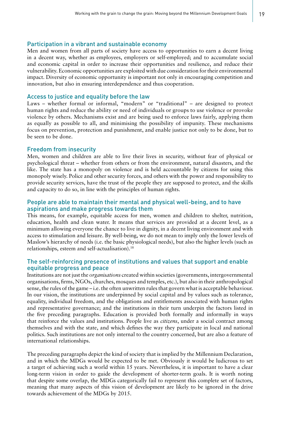#### Participation in a vibrant and sustainable economy

Men and women from all parts of society have access to opportunities to earn a decent living in a decent way, whether as employees, employers or self-employed; and to accumulate social and economic capital in order to increase their opportunities and resilience, and reduce their vulnerability. Economic opportunities are exploited with due consideration for their environmental impact. Diversity of economic opportunity is important not only in encouraging competition and innovation, but also in ensuring interdependence and thus cooperation.

#### Access to justice and equality before the law

Laws – whether formal or informal, "modern" or "traditional" – are designed to protect human rights and reduce the ability or need of individuals or groups to use violence or provoke violence by others. Mechanisms exist and are being used to enforce laws fairly, applying them as equally as possible to all, and minimising the possibility of impunity. These mechanisms focus on prevention, protection and punishment, and enable justice not only to be done, but to be seen to be done.

#### Freedom from insecurity

Men, women and children are able to live their lives in security, without fear of physical or psychological threat – whether from others or from the environment, natural disasters, and the like. The state has a monopoly on violence and is held accountable by citizens for using this monopoly wisely. Police and other security forces, and others with the power and responsibility to provide security services, have the trust of the people they are supposed to protect, and the skills and capacity to do so, in line with the principles of human rights.

#### People are able to maintain their mental and physical well-being, and to have aspirations and make progress towards them

This means, for example, equitable access for men, women and children to shelter, nutrition, education, health and clean water. It means that services are provided at a decent level, as a minimum allowing everyone the chance to live in dignity, in a decent living environment and with access to stimulation and leisure. By well-being, we do not mean to imply only the lower levels of Maslow's hierarchy of needs (i.e. the basic physiological needs), but also the higher levels (such as relationships, esteem and self-actualisation).18

#### The self-reinforcing presence of institutions and values that support and enable equitable progress and peace

Institutions are not just the *organisations* created within societies (governments, intergovernmental organisations, firms, NGOs, churches, mosques and temples, etc.), but also in their anthropological sense, the rules of the game – i.e. the often unwritten rules that govern what is acceptable behaviour. In our vision, the institutions are underpinned by social capital and by values such as tolerance, equality, individual freedom, and the obligations and entitlements associated with human rights and representative governance; and the institutions in their turn underpin the factors listed in the five preceding paragraphs. Education is provided both formally and informally in ways that reinforce the values and institutions. People live as *citizens*, under a social contract among themselves and with the state, and which defines the way they participate in local and national politics. Such institutions are not only internal to the country concerned, but are also a feature of international relationships.

The preceding paragraphs depict the kind of society that is implied by the Millennium Declaration, and in which the MDGs would be expected to be met. Obviously it would be ludicrous to set a target of achieving such a world within 15 years. Nevertheless, it is important to have a clear long-term vision in order to guide the development of shorter-term goals. It is worth noting that despite some overlap, the MDGs categorically fail to represent this complete set of factors, meaning that many aspects of this vision of development are likely to be ignored in the drive towards achievement of the MDGs by 2015.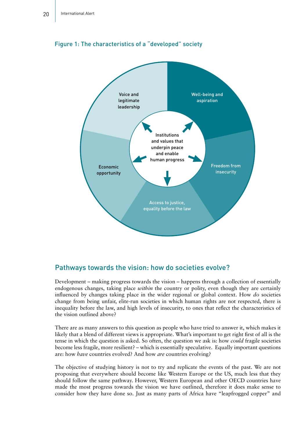

#### Figure 1: The characteristics of a "developed" society

#### Pathways towards the vision: how do societies evolve?

Development – making progress towards the vision – happens through a collection of essentially endogenous changes, taking place *within* the country or polity, even though they are certainly influenced by changes taking place in the wider regional or global context. How *do* societies change from being unfair, elite-run societies in which human rights are not respected, there is inequality before the law, and high levels of insecurity, to ones that reflect the characteristics of the vision outlined above?

There are as many answers to this question as people who have tried to answer it, which makes it likely that a blend of different views is appropriate. What's important to get right first of all is the tense in which the question is asked. So often, the question we ask is: how *could* fragile societies become less fragile, more resilient? – which is essentially speculative. Equally important questions are: how *have* countries evolved? And how *are* countries evolving?

The objective of studying history is not to try and replicate the events of the past. We are not proposing that everywhere should become like Western Europe or the US, much less that they should follow the same pathway. However, Western European and other OECD countries have made the most progress towards the vision we have outlined, therefore it does make sense to consider how they have done so. Just as many parts of Africa have "leapfrogged copper" and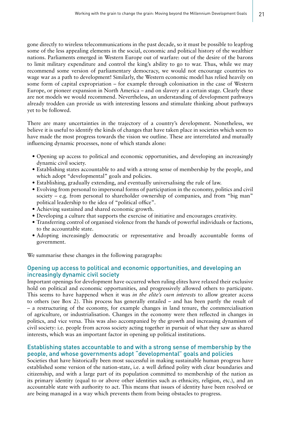gone directly to wireless telecommunications in the past decade, so it must be possible to leapfrog some of the less appealing elements in the social, economic and political history of the wealthier nations. Parliaments emerged in Western Europe out of warfare: out of the desire of the barons to limit military expenditure and control the king's ability to go to war. Thus, while we may recommend some version of parliamentary democracy, we would not encourage countries to wage war as a path to development! Similarly, the Western economic model has relied heavily on some form of capital expropriation – for example through colonisation in the case of Western Europe, or pioneer expansion in North America – and on slavery at a certain stage. Clearly these are not models we would recommend. Nevertheless, an understanding of development pathways already trodden can provide us with interesting lessons and stimulate thinking about pathways yet to be followed.

There are many uncertainties in the trajectory of a country's development. Nonetheless, we believe it is useful to identify the kinds of changes that have taken place in societies which seem to have made the most progress towards the vision we outline. These are interrelated and mutually influencing dynamic processes, none of which stands alone:

- Opening up access to political and economic opportunities, and developing an increasingly dynamic civil society.
- Establishing states accountable to and with a strong sense of membership by the people, and which adopt "developmental" goals and policies.
- Establishing, gradually extending, and eventually universalising the rule of law.
- • Evolving from personal to impersonal forms of participation in the economy, politics and civil society – e.g. from personal to shareholder ownership of companies, and from "big man" political leadership to the idea of "political office".
- • Achieving sustained and shared economic growth.
- Developing a culture that supports the exercise of initiative and encourages creativity.
- • Transferring control of organised violence from the hands of powerful individuals or factions, to the accountable state.
- Adopting increasingly democratic or representative and broadly accountable forms of government.

We summarise these changes in the following paragraphs:

#### Opening up access to political and economic opportunities, and developing an increasingly dynamic civil society

Important openings for development have occurred when ruling elites have relaxed their exclusive hold on political and economic opportunities, and progressively allowed others to participate. This seems to have happened when it was *in the elite's own interests* to allow greater access to others (see Box 2). This process has generally entailed – and has been partly the result of – a restructuring of the economy, for example changes in land tenure, the commercialisation of agriculture, or industrialisation. Changes in the economy were then reflected in changes in politics, and vice versa. This was also accompanied by the growth and increasing dynamism of civil society: i.e. people from across society acting together in pursuit of what they saw as shared interests, which was an important factor in opening up political institutions.

#### Establishing states accountable to and with a strong sense of membership by the people, and whose governments adopt "developmental" goals and policies

Societies that have historically been most successful in making sustainable human progress have established some version of the nation-state, i.e. a well defined polity with clear boundaries and citizenship, and with a large part of its population committed to membership of the nation as its primary identity (equal to or above other identities such as ethnicity, religion, etc.), and an accountable state with authority to act. This means that issues of identity have been resolved or are being managed in a way which prevents them from being obstacles to progress.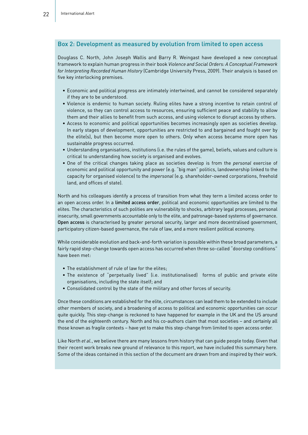#### Box 2: Development as measured by evolution from limited to open access

Douglass C. North, John Joseph Wallis and Barry R. Weingast have developed a new conceptual framework to explain human progress in their book *Violence and Social Orders: A Conceptual Framework for Interpreting Recorded Human History* (Cambridge University Press, 2009). Their analysis is based on five key interlocking premises.

- • Economic and political progress are intimately intertwined, and cannot be considered separately if they are to be understood.
- • Violence is endemic to human society. Ruling elites have a strong incentive to retain control of violence, so they can control access to resources, ensuring sufficient peace and stability to allow them and their allies to benefit from such access, and using violence to disrupt access by others.
- • Access to economic and political opportunities becomes increasingly open as societies develop. In early stages of development, opportunities are restricted to and bargained and fought over by the elite(s), but then become more open to others. Only when access became more open has sustainable progress occurred.
- • Understanding organisations, institutions (i.e. the rules of the game), beliefs, values and culture is critical to understanding how society is organised and evolves.
- • One of the critical changes taking place as societies develop is from the *personal* exercise of economic and political opportunity and power (e.g. "big man" politics, landownership linked to the capacity for organised violence) to the *impersonal* (e.g. shareholder-owned corporations, freehold land, and offices of state).

North and his colleagues identify a process of transition from what they term a limited access order to an open access order. In a limited access order, political and economic opportunities are limited to the elites. The characteristics of such polities are vulnerability to shocks, arbitrary legal processes, personal insecurity, small governments accountable only to the elite, and patronage-based systems of governance. Open access is characterised by greater personal security, larger and more decentralised government, participatory citizen-based governance, the rule of law, and a more resilient political economy.

While considerable evolution and back-and-forth variation is possible within these broad parameters, a fairly rapid step-change towards open access has occurred when three so-called "doorstep conditions" have been met:

- The establishment of rule of law for the elites;
- • The existence of "perpetually lived" (i.e. institutionalised) forms of public and private elite organisations, including the state itself; and
- • Consolidated control by the state of the military and other forces of security.

Once these conditions are established for the elite, circumstances can lead them to be extended to include other members of society, and a broadening of access to political and economic opportunities can occur quite quickly. This step-change is reckoned to have happened for example in the UK and the US around the end of the eighteenth century. North and his co-authors claim that most societies – and certainly all those known as fragile contexts – have yet to make this step-change from limited to open access order.

Like North *et al.*, we believe there are many lessons from history that can guide people today. Given that their recent work breaks new ground of relevance to this report, we have included this summary here. Some of the ideas contained in this section of the document are drawn from and inspired by their work.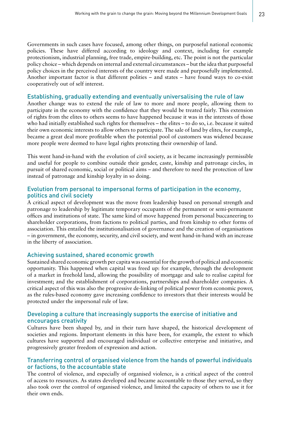Governments in such cases have focused, among other things, on purposeful national economic policies. These have differed according to ideology and context, including for example protectionism, industrial planning, free trade, empire-building, etc. The point is not the particular policy choice – which depends on internal and external circumstances – but the idea that purposeful policy choices in the perceived interests of the country were made and purposefully implemented. Another important factor is that different polities – and states – have found ways to co-exist cooperatively out of self interest.

#### Establishing, gradually extending and eventually universalising the rule of law

Another change was to extend the rule of law to more and more people, allowing them to participate in the economy with the confidence that they would be treated fairly. This extension of rights from the elites to others seems to have happened because it was in the interests of those who had initially established such rights for themselves – the elites – to do so, i.e. because it suited their own economic interests to allow others to participate. The sale of land by elites, for example, became a great deal more profitable when the potential pool of customers was widened because more people were deemed to have legal rights protecting their ownership of land.

This went hand-in-hand with the evolution of civil society, as it became increasingly permissible and useful for people to combine outside their gender, caste, kinship and patronage circles, in pursuit of shared economic, social or political aims – and therefore to need the protection of law instead of patronage and kinship loyalty in so doing.

#### Evolution from personal to impersonal forms of participation in the economy, politics and civil society

A critical aspect of development was the move from leadership based on personal strength and patronage to leadership by legitimate temporary occupants of the permanent or semi-permanent offices and institutions of state. The same kind of move happened from personal buccaneering to shareholder corporations, from factions to political parties, and from kinship to other forms of association. This entailed the institutionalisation of governance and the creation of organisations – in government, the economy, security, and civil society, and went hand-in-hand with an increase in the liberty of association.

#### Achieving sustained, shared economic growth

Sustained shared economic growth per capita was essential for the growth of political and economic opportunity. This happened when capital was freed up: for example, through the development of a market in freehold land, allowing the possibility of mortgage and sale to realise capital for investment; and the establishment of corporations, partnerships and shareholder companies. A critical aspect of this was also the progressive de-linking of political power from economic power, as the rules-based economy gave increasing confidence to investors that their interests would be protected under the impersonal rule of law.

#### Developing a culture that increasingly supports the exercise of initiative and encourages creativity

Cultures have been shaped by, and in their turn have shaped, the historical development of societies and regions. Important elements in this have been, for example, the extent to which cultures have supported and encouraged individual or collective enterprise and initiative, and progressively greater freedom of expression and action.

#### Transferring control of organised violence from the hands of powerful individuals or factions, to the accountable state

The control of violence, and especially of organised violence, is a critical aspect of the control of access to resources. As states developed and became accountable to those they served, so they also took over the control of organised violence, and limited the capacity of others to use it for their own ends.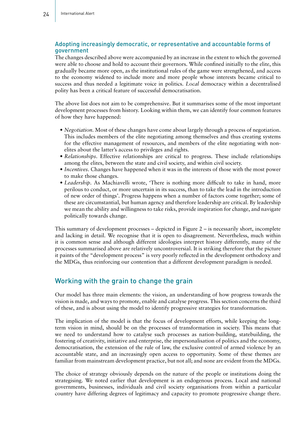#### Adopting increasingly democratic, or representative and accountable forms of government

The changes described above were accompanied by an increase in the extent to which the governed were able to choose and hold to account their governors. While confined initially to the elite, this gradually became more open, as the institutional rules of the game were strengthened, and access to the economy widened to include more and more people whose interests became critical to success and thus needed a legitimate voice in politics. *Local* democracy within a decentralised polity has been a critical feature of successful democratisation.

The above list does not aim to be comprehensive. But it summarises some of the most important development processes from history. Looking within them, we can identify four common features of how they have happened:

- *Negotiation*. Most of these changes have come about largely through a process of negotiation. This includes members of the elite negotiating among themselves and thus creating systems for the effective management of resources, and members of the elite negotiating with nonelites about the latter's access to privileges and rights.
- *• Relationships*. Effective relationships are critical to progress. These include relationships among the elites, between the state and civil society, and within civil society.
- *Incentives*. Changes have happened when it was in the interests of those with the most power to make those changes.
- *• Leadership.* As Machiavelli wrote, 'There is nothing more difficult to take in hand, more perilous to conduct, or more uncertain in its success, than to take the lead in the introduction of new order of things'. Progress happens when a number of factors come together; some of these are circumstantial, but human agency and therefore leadership are critical. By leadership we mean the ability and willingness to take risks, provide inspiration for change, and navigate politically towards change.

This summary of development processes – depicted in Figure 2 – is necessarily short, incomplete and lacking in detail. We recognise that it is open to disagreement. Nevertheless, much within it is common sense and although different ideologies interpret history differently, many of the processes summarised above are relatively uncontroversial. It is striking therefore that the picture it paints of the "development process" is very poorly reflected in the development orthodoxy and the MDGs, thus reinforcing our contention that a different development paradigm is needed.

### Working with the grain to change the grain

Our model has three main elements: the vision, an understanding of how progress towards the vision is made, and ways to promote, enable and catalyse progress. This section concerns the third of these, and is about using the model to identify progressive strategies for transformation.

The implication of the model is that the focus of development efforts, while keeping the longterm vision in mind, should be on the processes of transformation in society. This means that we need to understand how to catalyse such processes as nation-building, statebuilding, the fostering of creativity, initiative and enterprise, the impersonalisation of politics and the economy, democratisation, the extension of the rule of law, the exclusive control of armed violence by an accountable state, and an increasingly open access to opportunity. Some of these themes are familiar from mainstream development practice, but not all; and none are evident from the MDGs.

The choice of strategy obviously depends on the nature of the people or institutions doing the strategising. We noted earlier that development is an endogenous process. Local and national governments, businesses, individuals and civil society organisations from within a particular country have differing degrees of legitimacy and capacity to promote progressive change there.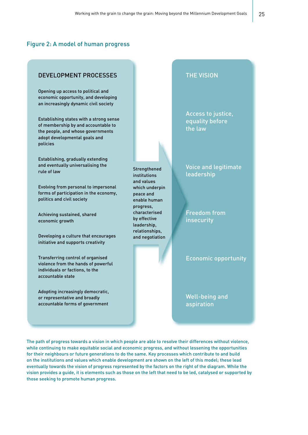#### Figure 2: A model of human progress

#### DEVELOPMENT PROCESSES

Opening up access to political and economic opportunity, and developing an increasingly dynamic civil society

Establishing states with a strong sense of membership by and accountable to the people, and whose governments adopt developmental goals and policies

Establishing, gradually extending and eventually universalising the rule of law

Evolving from personal to impersonal forms of participation in the economy, politics and civil society

Achieving sustained, shared economic growth

Developing a culture that encourages initiative and supports creativity

Transferring control of organised violence from the hands of powerful individuals or factions, to the accountable state

Adopting increasingly democratic, or representative and broadly accountable forms of government

**Strengthened** institutions and values which underpin peace and enable human progress, characterised by effective leadership, relationships, and negotiation

#### THE VISION

Access to justice, equality before the law

Voice and legitimate leadership

Freedom from insecurity

Economic opportunity

Well-being and aspiration

The path of progress towards a vision in which people are able to resolve their differences without violence, while continuing to make equitable social and economic progress, and without lessening the opportunities for their neighbours or future generations to do the same. Key processes which contribute to and build on the institutions and values which enable development are shown on the left of this model; these lead eventually towards the vision of progress represented by the factors on the right of the diagram. While the vision provides a guide, it is elements such as those on the left that need to be led, catalysed or supported by those seeking to promote human progress.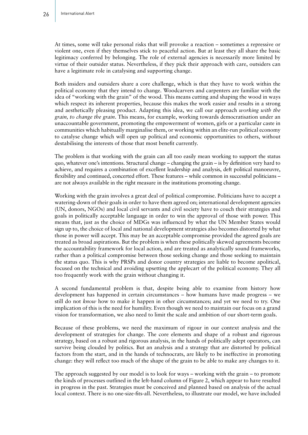At times, some will take personal risks that will provoke a reaction – sometimes a repressive or violent one, even if they themselves stick to peaceful action. But at least they all share the basic legitimacy conferred by belonging. The role of external agencies is necessarily more limited by virtue of their outsider status. Nevertheless, if they pick their approach with care, outsiders can have a legitimate role in catalysing and supporting change.

Both insiders and outsiders share a core challenge, which is that they have to work within the political economy that they intend to change. Woodcarvers and carpenters are familiar with the idea of "working with the grain" of the wood. This means cutting and shaping the wood in ways which respect its inherent properties, because this makes the work easier and results in a strong and aesthetically pleasing product. Adapting this idea, we call our approach *working with the grain, to change the grain*. This means, for example, working towards democratisation under an unaccountable government, promoting the empowerment of women, girls or a particular caste in communities which habitually marginalise them, or working within an elite-run political economy to catalyse change which will open up political and economic opportunities to others, without destabilising the interests of those that most benefit currently.

The problem is that working with the grain can all too easily mean working to support the status quo, whatever one's intentions. Structural change – changing the grain – is by definition very hard to achieve, and requires a combination of excellent leadership and analysis, deft political manoeuvre, flexibility and continued, concerted effort. These features – while common in successful politicians – are not always available in the right measure in the institutions promoting change.

Working with the grain involves a great deal of political compromise. Politicians have to accept a watering-down of their goals in order to have them agreed on; international development agencies (UN, donors, NGOs) and local civil servants and civil society have to couch their strategies and goals in politically acceptable language in order to win the approval of those with power. This means that, just as the choice of MDGs was influenced by what the UN Member States would sign up to, the choice of local and national development strategies also becomes distorted by what those in power will accept. This may be an acceptable compromise provided the agreed goals are treated as broad aspirations. But the problem is when these politically skewed agreements become the accountability framework for local action, and are treated as analytically sound frameworks, rather than a political compromise between those seeking change and those seeking to maintain the status quo. This is why PRSPs and donor country strategies are liable to become apolitical, focused on the technical and avoiding upsetting the applecart of the political economy. They all too frequently work with the grain without changing it.

A second fundamental problem is that, despite being able to examine from history how development has happened in certain circumstances – how humans have made progress – we still do not *know* how to make it happen in other circumstances; and yet we need to try. One implication of this is the need for humility. Even though we need to maintain our focus on a grand vision for transformation, we also need to limit the scale and ambition of our short-term goals.

Because of these problems, we need the maximum of rigour in our context analysis and the development of strategies for change. The core elements and shape of a robust and rigorous strategy, based on a robust and rigorous analysis, in the hands of politically adept operators, can survive being clouded by politics. But an analysis and a strategy that are distorted by political factors from the start, and in the hands of technocrats, are likely to be ineffective in promoting change: they will reflect too much of the shape of the grain to be able to make any changes to it.

The approach suggested by our model is to look for ways – working with the grain – to promote the kinds of processes outlined in the left-hand column of Figure 2, which appear to have resulted in progress in the past. Strategies must be conceived and planned based on analysis of the actual local context. There is no one-size-fits-all. Nevertheless, to illustrate our model, we have included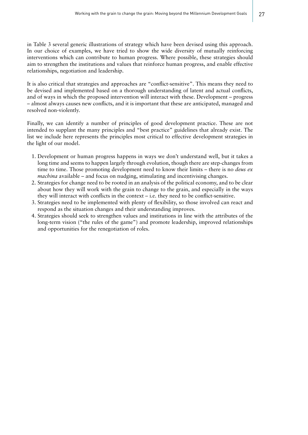in Table 3 several generic illustrations of strategy which have been devised using this approach. In our choice of examples, we have tried to show the wide diversity of mutually reinforcing interventions which can contribute to human progress. Where possible, these strategies should aim to strengthen the institutions and values that reinforce human progress, and enable effective relationships, negotiation and leadership.

It is also critical that strategies and approaches are "conflict-sensitive". This means they need to be devised and implemented based on a thorough understanding of latent and actual conflicts, and of ways in which the proposed intervention will interact with these. Development – progress – almost always causes new conflicts, and it is important that these are anticipated, managed and resolved non-violently.

Finally, we can identify a number of principles of good development practice. These are not intended to supplant the many principles and "best practice" guidelines that already exist. The list we include here represents the principles most critical to effective development strategies in the light of our model.

- 1. Development or human progress happens in ways we don't understand well, but it takes a long time and seems to happen largely through evolution, though there are step-changes from time to time. Those promoting development need to know their limits – there is no *deus ex machina* available – and focus on nudging, stimulating and incentivising changes.
- 2. Strategies for change need to be rooted in an analysis of the political economy, and to be clear about how they will work with the grain to change to the grain, and especially in the ways they will interact with conflicts in the context  $-$  i.e. they need to be conflict-sensitive.
- 3. Strategies need to be implemented with plenty of flexibility, so those involved can react and respond as the situation changes and their understanding improves.
- 4. Strategies should seek to strengthen values and institutions in line with the attributes of the long-term vision ("the rules of the game") and promote leadership, improved relationships and opportunities for the renegotiation of roles.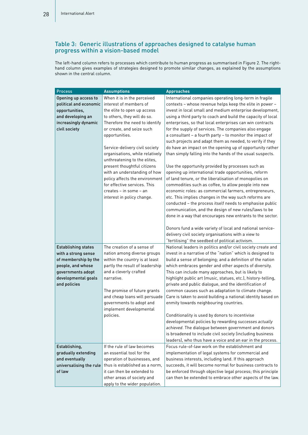#### Table 3: Generic illustrations of approaches designed to catalyse human progress within a vision-based model

The left-hand column refers to processes which contribute to human progress as summarised in Figure 2. The righthand column gives examples of strategies designed to promote similar changes, as explained by the assumptions shown in the central column.

| <b>Process</b>                                    | <b>Assumptions</b>                                        | <b>Approaches</b>                                                                                                          |
|---------------------------------------------------|-----------------------------------------------------------|----------------------------------------------------------------------------------------------------------------------------|
| Opening up access to                              | When it is in the perceived                               | International companies operating long-term in fragile                                                                     |
| political and economic                            | interest of members of                                    | contexts - whose revenue helps keep the elite in power -                                                                   |
| opportunities,                                    | the elite to open up access                               | invest in local small and medium enterprise development,                                                                   |
| and developing an                                 | to others, they will do so.                               | using a third party to coach and build the capacity of local                                                               |
| increasingly dynamic                              | Therefore the need to identify                            | enterprises, so that local enterprises can win contracts                                                                   |
| civil society                                     | or create, and seize such                                 | for the supply of services. The companies also engage                                                                      |
|                                                   | opportunities.                                            | a consultant - a fourth party - to monitor the impact of                                                                   |
|                                                   |                                                           | such projects and adapt them as needed, to verify if they                                                                  |
|                                                   | Service-delivery civil society                            | do have an impact on the opening up of opportunity rather                                                                  |
|                                                   | organisations, while relatively                           | than simply falling into the hands of the usual suspects.                                                                  |
|                                                   | unthreatening to the elites,                              |                                                                                                                            |
|                                                   | present thoughtful citizens                               | Use the opportunity provided by processes such as                                                                          |
|                                                   | with an understanding of how                              | opening up international trade opportunities, reform                                                                       |
|                                                   | policy affects the environment                            | of land tenure, or the liberalisation of monopolies on                                                                     |
|                                                   | for effective services. This                              | commodities such as coffee, to allow people into new                                                                       |
|                                                   | creates - in some - an                                    | economic roles: as commercial farmers, entrepreneurs,                                                                      |
|                                                   | interest in policy change.                                | etc. This implies changes in the way such reforms are                                                                      |
|                                                   |                                                           | conducted - the process itself needs to emphasise public                                                                   |
|                                                   |                                                           | communication, and the design of new rules/laws to be                                                                      |
|                                                   |                                                           | done in a way that encourages new entrants to the sector.                                                                  |
|                                                   |                                                           |                                                                                                                            |
|                                                   |                                                           | Donors fund a wide variety of local and national service-                                                                  |
|                                                   |                                                           | delivery civil society organisations with a view to                                                                        |
|                                                   |                                                           | "fertilising" the seedbed of political activism.                                                                           |
| <b>Establishing states</b><br>with a strong sense | The creation of a sense of<br>nation among diverse groups | National leaders in politics and/or civil society create and<br>invest in a narrative of the "nation" which is designed to |
| of membership by the                              | within the country is at least                            | build a sense of belonging; and a definition of the nation                                                                 |
| people, and whose                                 | partly the result of leadership                           | which embraces gender and other aspects of diversity.                                                                      |
| governments adopt                                 | and a cleverly crafted                                    | This can include many approaches, but is likely to                                                                         |
| developmental goals                               | narrative.                                                | highlight public art (music, statues, etc.), history-telling,                                                              |
| and policies                                      |                                                           | private and public dialogue, and the identification of                                                                     |
|                                                   | The promise of future grants                              | common causes such as adaptation to climate change.                                                                        |
|                                                   | and cheap loans will persuade                             | Care is taken to avoid building a national identity based on                                                               |
|                                                   | governments to adopt and                                  | enmity towards neighbouring countries.                                                                                     |
|                                                   | implement developmental                                   |                                                                                                                            |
|                                                   | policies.                                                 | Conditionality is used by donors to incentivise                                                                            |
|                                                   |                                                           | developmental policies by rewarding successes actually                                                                     |
|                                                   |                                                           | achieved. The dialogue between government and donors                                                                       |
|                                                   |                                                           | is broadened to include civil society (including business                                                                  |
|                                                   |                                                           | leaders), who thus have a voice and an ear in the process.                                                                 |
| Establishing,                                     | If the rule of law becomes                                | Focus rule-of-law work on the establishment and                                                                            |
| gradually extending                               | an essential tool for the                                 | implementation of legal systems for commercial and                                                                         |
| and eventually                                    | operation of businesses, and                              | business interests, including land. If this approach                                                                       |
| universalising the rule                           | thus is established as a norm.                            | succeeds, it will become normal for business contracts to                                                                  |
| of law                                            | it can then be extended to                                | be enforced through objective legal process; this principle                                                                |
|                                                   | other areas of society and                                | can then be extended to embrace other aspects of the law.                                                                  |
|                                                   | apply to the wider population.                            |                                                                                                                            |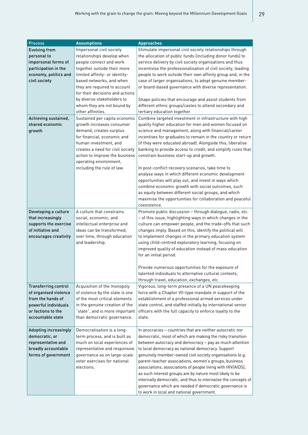| <b>Process</b>               | <b>Assumptions</b>               | <b>Approaches</b>                                              |
|------------------------------|----------------------------------|----------------------------------------------------------------|
| <b>Evolving from</b>         | Impersonal civil society         | Stimulate impersonal civil society relationships through       |
| personal to                  | relationships develop when       | the allocation of public funds (including donor funds) to      |
| impersonal forms of          | people connect and work          | service delivery by civil society organisations and thus       |
| participation in the         | together outside their more      | incentivise the professionalisation of civil society, leading  |
| economy, politics and        | limited affinity- or identity-   | people to work outside their own affinity group and, in the    |
| civil society                | based networks, and when         | case of larger organisations, to adopt genuine member-         |
|                              | they are required to account     | or board-based governance with diverse representation.         |
|                              | for their decisions and actions  |                                                                |
|                              | by diverse stakeholders to       | Shape policies that encourage and assist students from         |
|                              | whom they are not bound by       | different ethnic groups/castes to attend secondary and         |
|                              | other affinities.                | tertiary education together.                                   |
|                              |                                  |                                                                |
| Achieving sustained,         | Sustained per capita economic    | Combine targeted investment in infrastructure with high        |
| shared economic              | growth increases consumer        | quality higher education for men and women focused on          |
| growth                       | demand, creates surplus          | science and management, along with financial/career            |
|                              | for financial, economic and      | incentives for graduates to remain in the country or return    |
|                              | human investment, and            | (if they were educated abroad). Alongside this, liberalise     |
|                              | creates a need for civil society | banking to provide access to credit, and simplify rules that   |
|                              | action to improve the business   | constrain business start-up and growth.                        |
|                              | operating environment,           |                                                                |
|                              | including the rule of law.       | In post-conflict recovery scenarios, take time to              |
|                              |                                  | analyse ways in which different economic development           |
|                              |                                  | opportunities will play out, and invest in ways which          |
|                              |                                  | combine economic growth with social outcomes, such             |
|                              |                                  | as equity between different social groups, and which           |
|                              |                                  | maximise the opportunities for collaboration and peaceful      |
|                              |                                  | coexistence.                                                   |
| Developing a culture         | A culture that constrains        | Promote public discussion - through dialogue, radio, etc.      |
| that increasingly            | social, economic, and            | - of this issue, highlighting ways in which changes in the     |
| supports the exercise        | intellectual enterprise and      | culture can empower people, and the trade-offs that such       |
| of initiative and            | ideas can be transformed,        | changes imply. Based on this, identify the political will      |
| encourages creativity        | over time, through education     | to implement changes in the primary education system           |
|                              | and leadership.                  | using child-centred exploratory learning, focusing on          |
|                              |                                  | improved quality of education instead of mass education        |
|                              |                                  | for an initial period.                                         |
|                              |                                  |                                                                |
|                              |                                  | Provide numerous opportunities for the exposure of             |
|                              |                                  | talented individuals to alternative cultural contexts.         |
|                              |                                  | through travel, education, exchanges, etc.                     |
| <b>Transferring control</b>  | Acquisition of the monopoly      | Vigorous, long-term presence of a UN peacekeeping              |
| of organised violence        | of violence by the state is one  | force with a Chapter VII-type mandate in support of the        |
| from the hands of            | of the most critical elements    | establishment of a professional armed services under           |
| powerful individuals         | in the genuine creation of the   | state control, and staffed initially by international senior   |
| or factions to the           | "state", and is more important   | officers with the full capacity to enforce loyalty to the      |
| accountable state            | than democratic governance.      | state.                                                         |
|                              |                                  |                                                                |
| <b>Adopting increasingly</b> | Democratisation is a long-       | In anocracies - countries that are neither autocratic nor      |
| democratic, or               | term process, and is built as    | democratic, most of which are making the risky transition      |
| representative and           | much on local experiences of     | between autocracy and democracy - pay as much attention        |
| broadly accountable          | representative and responsive    | to local democracy as national democracy. Support              |
| forms of government          | governance as on large-scale     | genuinely member-owned civil society organisations (e.g.       |
|                              | voter exercises for national     | parent-teacher associations, women's groups, business          |
|                              | elections.                       | associations, associations of people living with HIV/AIDS),    |
|                              |                                  | as such interest groups are by nature most likely to be        |
|                              |                                  | internally democratic, and thus to internalise the concepts of |
|                              |                                  | governance which are needed if democratic governance is        |
|                              |                                  | to work in local and national government.                      |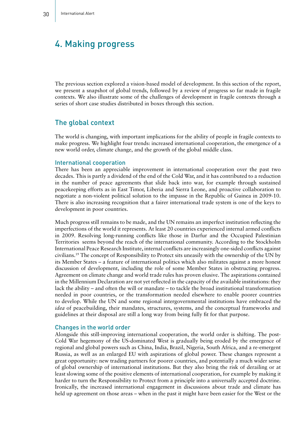# 4. Making progress

The previous section explored a vision-based model of development. In this section of the report, we present a snapshot of global trends, followed by a review of progress so far made in fragile contexts. We also illustrate some of the challenges of development in fragile contexts through a series of short case studies distributed in boxes through this section.

#### The global context

The world is changing, with important implications for the ability of people in fragile contexts to make progress. We highlight four trends: increased international cooperation, the emergence of a new world order, climate change, and the growth of the global middle class.

#### International cooperation

There has been an appreciable improvement in international cooperation over the past two decades. This is partly a dividend of the end of the Cold War, and it has contributed to a reduction in the number of peace agreements that slide back into war, for example through sustained peacekeeping efforts as in East Timor, Liberia and Sierra Leone, and proactive collaboration to negotiate a non-violent political solution to the impasse in the Republic of Guinea in 2009-10. There is also increasing recognition that a fairer international trade system is one of the keys to development in poor countries.

Much progress still remains to be made, and the UN remains an imperfect institution reflecting the imperfections of the world it represents. At least 20 countries experienced internal armed conflicts in 2009. Resolving long-running conflicts like those in Darfur and the Occupied Palestinian Territories seems beyond the reach of the international community. According to the Stockholm International Peace Research Institute, internal conflicts are increasingly one-sided conflicts against civilians.19 The concept of Responsibility to Protect sits uneasily with the ownership of the UN by its Member States – a feature of international politics which also militates against a more honest discussion of development, including the role of some Member States in obstructing progress. Agreement on climate change and world trade rules has proven elusive. The aspirations contained in the Millennium Declaration are not yet reflected in the capacity of the available institutions: they lack the ability – and often the will or mandate – to tackle the broad institutional transformation needed in poor countries, or the transformation needed elsewhere to enable poorer countries to develop. While the UN and some regional intergovernmental institutions have embraced the *idea* of peacebuilding, their mandates, structures, systems, and the conceptual frameworks and guidelines at their disposal are still a long way from being fully fit for that purpose.

#### Changes in the world order

Alongside this still-improving international cooperation, the world order is shifting. The post-Cold War hegemony of the US-dominated West is gradually being eroded by the emergence of regional and global powers such as China, India, Brazil, Nigeria, South Africa, and a re-emergent Russia, as well as an enlarged EU with aspirations of global power. These changes represent a great opportunity: new trading partners for poorer countries, and potentially a much wider sense of global ownership of international institutions. But they also bring the risk of derailing or at least slowing some of the positive elements of international cooperation, for example by making it harder to turn the Responsibility to Protect from a principle into a universally accepted doctrine. Ironically, the increased international engagement in discussions about trade and climate has held up agreement on those areas – when in the past it might have been easier for the West or the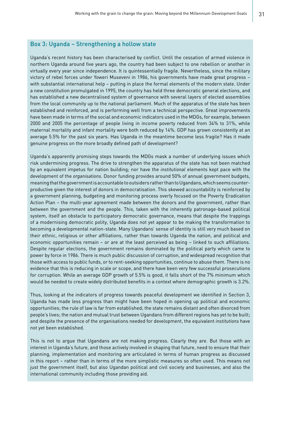#### Box 3: Uganda – Strengthening a hollow state

Uganda's recent history has been characterised by conflict. Until the cessation of armed violence in northern Uganda around five years ago, the country had been subject to one rebellion or another in virtually every year since independence. It is quintessentially fragile. Nevertheless, since the military victory of rebel forces under Yoweri Museveni in 1986, his governments have made great progress – with substantial international help – putting in place the formal elements of the modern state. Under a new constitution promulgated in 1995, the country has held three democratic general elections, and has established a new decentralised system of governance with several layers of elected assemblies from the local community up to the national parliament. Much of the apparatus of the state has been established and reinforced, and is performing well from a technical perspective. Great improvements have been made in terms of the social and economic indicators used in the MDGs, for example, between 2000 and 2005 the percentage of people living in income poverty reduced from 34% to 31%, while maternal mortality and infant mortality were both reduced by 14%. GDP has grown consistently at an average 5.5% for the past six years. Has Uganda in the meantime become less fragile? Has it made genuine progress on the more broadly defined path of development?

Uganda's apparently promising steps towards the MDGs mask a number of underlying issues which risk undermining progress. The drive to strengthen the apparatus of the state has not been matched by an equivalent impetus for nation building; nor have the *institutional* elements kept pace with the development of the *organisations*. Donor funding provides around 50% of annual government budgets, meaning that the government is accountable to outsiders rather than to Ugandans, which seems counterproductive given the interest of donors in democratisation. This skewed accountability is reinforced by a government planning, budgeting and monitoring process overly focused on the Poverty Eradication Action Plan – the multi-year agreement made between the donors and the government, rather than between the government and the people. This, taken with the inherently patronage-based political system, itself an obstacle to participatory democratic governance, means that despite the trappings of a modernising democratic polity, Uganda does not yet appear to be making the transformation to becoming a developmental nation-state. Many Ugandans' sense of identity is still very much based on their ethnic, religious or other affiliations, rather than towards Uganda the nation, and political and economic opportunities remain – or are at the least perceived as being – linked to such affiliations. Despite regular elections, the government remains dominated by the political party which came to power by force in 1986. There is much public discussion of corruption, and widespread recognition that those with access to public funds, or to rent-seeking opportunities, continue to abuse them. There is no evidence that this is reducing in scale or scope, and there have been very few successful prosecutions for corruption. While an average GDP growth of 5.5% is good, it falls short of the 7% minimum which would be needed to create widely distributed benefits in a context where demographic growth is 3.2%.

Thus, looking at the indicators of progress towards peaceful development we identified in Section 3, Uganda has made less progress than might have been hoped in opening up political and economic opportunities; the rule of law is far from established; the state remains distant and often divorced from people's lives; the nation and mutual trust between Ugandans from different regions has yet to be built; and despite the presence of the organisations needed for development, the equivalent *institutions* have not yet been established.

This is not to argue that Ugandans are not making progress. Clearly they are. But those with an interest in Uganda's future, and those actively involved in shaping that future, need to ensure that their planning, implementation and monitoring are articulated in terms of human progress as discussed in this report – rather than in terms of the more simplistic measures so often used. This means not just the government itself, but also Ugandan political and civil society and businesses, and also the international community including those providing aid.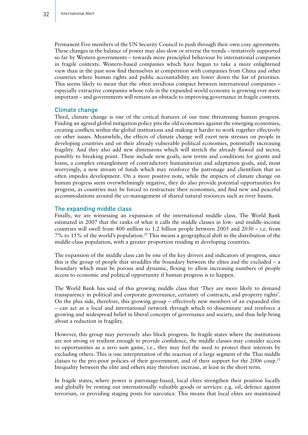Permanent Five members of the UN Security Council to push through their own cosy agreements. These changes in the balance of power may also slow or reverse the trends – tentatively supported so far by Western governments – towards more principled behaviour by international companies in fragile contexts. Western-based companies which have begun to take a more enlightened view than in the past now find themselves in competition with companies from China and other countries where human rights and public accountability are lower down the list of priorities. This seems likely to mean that the often invidious compact between international companies – especially extractive companies whose role in the expanded world economy is growing ever more important – and governments will remain an obstacle to improving governance in fragile contexts.

#### Climate change

Third, climate change is one of the critical features of our time threatening human progress. Finding an agreed global mitigation policy pits the old economies against the emerging economies, creating conflicts within the global institutions and making it harder to work together effectively on other issues. Meanwhile, the effects of climate change will exert new stresses on people in developing countries and on their already vulnerable political economies, potentially increasing fragility. And they also add new dimensions which will stretch the already flawed aid sector, possibly to breaking point. These include new goals, new terms and conditions for grants and loans, a complex entanglement of contradictory humanitarian and adaptation goals, and, most worryingly, a new stream of funds which may reinforce the patronage and clientilism that so often impedes development. On a more positive note, while the impacts of climate change on human progress seem overwhelmingly negative, they do also provide potential opportunities for progress, as countries may be forced to restructure their economies, and find new and peaceful accommodations around the co-management of shared natural resources such as river basins.

#### The expanding middle class

Finally, we are witnessing an expansion of the international middle class. The World Bank estimated in 2007 that the ranks of what it calls the middle classes in low- and middle-income countries will swell from 400 million to 1.2 billion people between 2005 and 2030 – i.e. from 7% to 15% of the world's population.20 This means a geographical shift in the distribution of the middle-class population, with a greater proportion residing in developing countries.

The expansion of the middle class can be one of the key drivers and indicators of progress, since this is the group of people that straddles the boundary between the elites and the excluded – a boundary which must be porous and dynamic, flexing to allow increasing numbers of people access to economic and political opportunity if human progress is to happen.

The World Bank has said of this growing middle class that 'They are more likely to demand transparency in political and corporate governance, certainty of contracts, and property rights'. On the plus side, therefore, this growing group – effectively new members of an expanded elite – can act as a local and international network through which to disseminate and reinforce a growing and widespread belief in liberal concepts of governance and society, and thus help bring about a reduction in fragility.

However, this group may perversely also block progress. In fragile states where the institutions are not strong or resilient enough to provide confidence, the middle classes may consider access to opportunities as a zero sum game, i.e., they may feel the need to protect their interests by excluding others. This is one interpretation of the reaction of a large segment of the Thai middle classes to the pro-poor policies of their government, and of their support for the 2006 coup.<sup>21</sup> Inequality between the elite and others may therefore increase, at least in the short term.

In fragile states, where power is patronage-based, local elites strengthen their position locally and globally by renting out internationally valuable goods or services: e.g. oil, defence against terrorism, or providing staging posts for narcotics. This means that local elites are maintained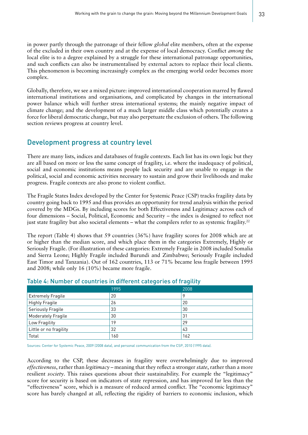in power partly through the patronage of their fellow *global* elite members, often at the expense of the excluded in their own country and at the expense of local democracy. Conflict *among* the local elite is to a degree explained by a struggle for these international patronage opportunities, and such conflicts can also be instrumentalised by external actors to replace their local clients. This phenomenon is becoming increasingly complex as the emerging world order becomes more complex.

Globally, therefore, we see a mixed picture: improved international cooperation marred by flawed international institutions and organisations, and complicated by changes in the international power balance which will further stress international systems; the mainly negative impact of climate change; and the development of a much larger middle class which potentially creates a force for liberal democratic change, but may also perpetuate the exclusion of others. The following section reviews progress at country level.

### Development progress at country level

There are many lists, indices and databases of fragile contexts. Each list has its own logic but they are all based on more or less the same concept of fragility, i.e. where the inadequacy of political, social and economic institutions means people lack security and are unable to engage in the political, social and economic activities necessary to sustain and grow their livelihoods and make progress. Fragile contexts are also prone to violent conflict.

The Fragile States Index developed by the Center for Systemic Peace (CSP) tracks fragility data by country going back to 1995 and thus provides an opportunity for trend analysis within the period covered by the MDGs. By including scores for both Effectiveness and Legitimacy across each of four dimensions – Social, Political, Economic and Security – the index is designed to reflect not just state fragility but also societal elements – what the compilers refer to as systemic fragility.<sup>22</sup>

The report (Table 4) shows that 59 countries (36%) have fragility scores for 2008 which are at or higher than the median score, and which place them in the categories Extremely, Highly or Seriously Fragile. (For illustration of these categories: Extremely Fragile in 2008 included Somalia and Sierra Leone; Highly Fragile included Burundi and Zimbabwe; Seriously Fragile included East Timor and Tanzania). Out of 162 countries, 113 or 71% became less fragile between 1995 and 2008; while only 16 (10%) became more fragile.

|                           | 1995 | 2008 |
|---------------------------|------|------|
| <b>Extremely Fragile</b>  | 20   | 9    |
| <b>Highly Fragile</b>     | 26   | 20   |
| <b>Seriously Fragile</b>  | 33   | 30   |
| <b>Moderately Fragile</b> | 30   | 31   |
| Low Fragility             | 19   | 29   |
| Little or no fragility    | 32   | 43   |
| Total                     | 160  | 162  |

#### Table 4: Number of countries in different categories of fragility

Sources: Center for Systemic Peace, 2009 (2008 data), and personal communication from the CSP, 2010 (1995 data).

According to the CSP, these decreases in fragility were overwhelmingly due to improved *effectiveness*, rather than *legitimacy* – meaning that they reflect a stronger *state*, rather than a more resilient *society*. This raises questions about their sustainability. For example the "legitimacy" score for security is based on indicators of state repression, and has improved far less than the "effectiveness" score, which is a measure of reduced armed conflict. The "economic legitimacy" score has barely changed at all, reflecting the rigidity of barriers to economic inclusion, which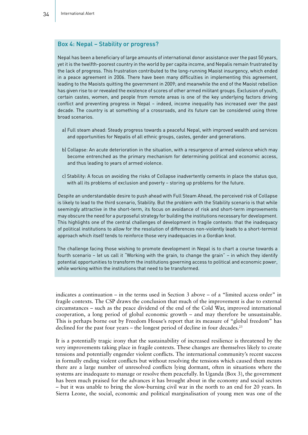#### Box 4: Nepal – Stability or progress?

Nepal has been a beneficiary of large amounts of international donor assistance over the past 50 years, yet it is the twelfth-poorest country in the world by per capita income, and Nepalis remain frustrated by the lack of progress. This frustration contributed to the long-running Maoist insurgency, which ended in a peace agreement in 2006. There have been many difficulties in implementing this agreement, leading to the Maoists quitting the government in 2009; and meanwhile the end of the Maoist rebellion has given rise to or revealed the existence of scores of other armed militant groups. Exclusion of youth, certain castes, women, and people from remote areas is one of the key underlying factors driving conflict and preventing progress in Nepal – indeed, income inequality has increased over the past decade. The country is at something of a crossroads, and its future can be considered using three broad scenarios.

- a) Full steam ahead: Steady progress towards a peaceful Nepal, with improved wealth and services and opportunities for Nepalis of all ethnic groups, castes, gender and generations.
- b) Collapse: An acute deterioration in the situation, with a resurgence of armed violence which may become entrenched as the primary mechanism for determining political and economic access, and thus leading to years of armed violence.
- c) Stability: A focus on avoiding the risks of Collapse inadvertently cements in place the status quo, with all its problems of exclusion and poverty – storing up problems for the future.

Despite an understandable desire to push ahead with Full Steam Ahead, the perceived risk of Collapse is likely to lead to the third scenario, Stability. But the problem with the Stability scenario is that while seemingly attractive in the short-term, its focus on avoidance of risk and short-term improvements may obscure the need for a purposeful strategy for building the institutions necessary for development. This highlights one of the central challenges of development in fragile contexts: that the inadequacy of political institutions to allow for the resolution of differences non-violently leads to a short-termist approach which itself tends to reinforce those very inadequacies in a Gordian knot.

The challenge facing those wishing to promote development in Nepal is to chart a course towards a fourth scenario – let us call it "Working with the grain, to change the grain" – in which they identify potential opportunities to transform the institutions governing access to political and economic power, while working within the institutions that need to be transformed.

indicates a continuation – in the terms used in Section 3 above – of a "limited access order" in fragile contexts. The CSP draws the conclusion that much of the improvement is due to external circumstances – such as the peace dividend of the end of the Cold War, improved international cooperation, a long period of global economic growth – and may therefore be unsustainable. This is perhaps borne out by Freedom House's report that its measure of "global freedom" has declined for the past four years – the longest period of decline in four decades.<sup>23</sup>

It is a potentially tragic irony that the sustainability of increased resilience is threatened by the very improvements taking place in fragile contexts. These changes are themselves likely to create tensions and potentially engender violent conflicts. The international community's recent success in formally ending violent conflicts but without resolving the tensions which caused them means there are a large number of unresolved conflicts lying dormant, often in situations where the systems are inadequate to manage or resolve them peacefully. In Uganda (Box 3), the government has been much praised for the advances it has brought about in the economy and social sectors – but it was unable to bring the slow-burning civil war in the north to an end for 20 years. In Sierra Leone, the social, economic and political marginalisation of young men was one of the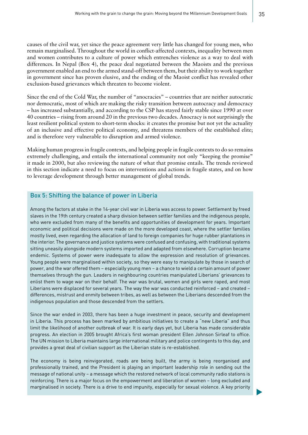causes of the civil war, yet since the peace agreement very little has changed for young men, who remain marginalised. Throughout the world in conflict-affected contexts, inequality between men and women contributes to a culture of power which entrenches violence as a way to deal with differences. In Nepal (Box 4), the peace deal negotiated between the Maoists and the previous government enabled an end to the armed stand-off between them, but their ability to work together in government since has proven elusive, and the ending of the Maoist conflict has revealed other exclusion-based grievances which threaten to become violent.

Since the end of the Cold War, the number of "anocracies" – countries that are neither autocratic nor democratic, most of which are making the risky transition between autocracy and democracy – has increased substantially, and according to the CSP has stayed fairly stable since 1990 at over 40 countries – rising from around 20 in the previous two decades. Anocracy is not surprisingly the least resilient political system to short-term shocks: it creates the promise but not yet the actuality of an inclusive and effective political economy, and threatens members of the established elite; and is therefore very vulnerable to disruption and armed violence.

Making human progress in fragile contexts, and helping people in fragile contexts to do so remains extremely challenging, and entails the international community not only "keeping the promise" it made in 2000, but also reviewing the nature of what that promise entails. The trends reviewed in this section indicate a need to focus on interventions and actions in fragile states, and on how to leverage development through better management of global trends.

#### Box 5: Shifting the balance of power in Liberia

Among the factors at stake in the 14-year civil war in Liberia was access to power. Settlement by freed slaves in the 19th century created a sharp division between settler families and the indigenous people, who were excluded from many of the benefits and opportunities of development for years. Important economic and political decisions were made on the more developed coast, where the settler families mostly lived, even regarding the allocation of land to foreign companies for huge rubber plantations in the interior. The governance and justice systems were confused and confusing, with traditional systems sitting uneasily alongside modern systems imported and adapted from elsewhere. Corruption became endemic. Systems of power were inadequate to allow the expression and resolution of grievances. Young people were marginalised within society, so they were easy to manipulate by those in search of power, and the war offered them – especially young men – a chance to wield a certain amount of power themselves through the gun. Leaders in neighbouring countries manipulated Liberians' grievances to enlist them to wage war on their behalf. The war was brutal, women and girls were raped, and most Liberians were displaced for several years. The way the war was conducted reinforced – and created – differences, mistrust and enmity between tribes, as well as between the Liberians descended from the indigenous population and those descended from the settlers.

Since the war ended in 2003, there has been a huge investment in peace, security and development in Liberia. This process has been marked by ambitious initiatives to create a "new Liberia" and thus limit the likelihood of another outbreak of war. It is early days yet, but Liberia has made considerable progress. An election in 2005 brought Africa's first woman president Ellen Johnson Sirleaf to office. The UN mission to Liberia maintains large international military and police contingents to this day, and provides a great deal of civilian support as the Liberian state is re-established.

The economy is being reinvigorated, roads are being built, the army is being reorganised and professionally trained, and the President is playing an important leadership role in sending out the message of national unity – a message which the restored network of local community radio stations is reinforcing. There is a major focus on the empowerment and liberation of women – long excluded and marginalised in society. There is a drive to end impunity, especially for sexual violence. A key priority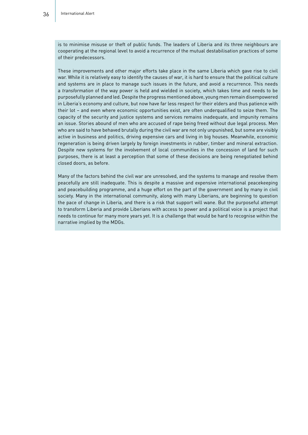is to minimise misuse or theft of public funds. The leaders of Liberia and its three neighbours are cooperating at the regional level to avoid a recurrence of the mutual destabilisation practices of some of their predecessors.

These improvements and other major efforts take place in the same Liberia which gave rise to civil war. While it is relatively easy to identify the causes of war, it is hard to ensure that the political culture and systems are in place to manage such issues in the future, and avoid a recurrence. This needs a *transformation* of the way power is held and wielded in society, which takes time and needs to be purposefully planned and led. Despite the progress mentioned above, young men remain disempowered in Liberia's economy and culture, but now have far less respect for their elders and thus patience with their lot – and even where economic opportunities exist, are often underqualified to seize them. The capacity of the security and justice systems and services remains inadequate, and impunity remains an issue. Stories abound of men who are accused of rape being freed without due legal process. Men who are said to have behaved brutally during the civil war are not only unpunished, but some are visibly active in business and politics, driving expensive cars and living in big houses. Meanwhile, economic regeneration is being driven largely by foreign investments in rubber, timber and mineral extraction. Despite new systems for the involvement of local communities in the concession of land for such purposes, there is at least a perception that some of these decisions are being renegotiated behind closed doors, as before.

Many of the factors behind the civil war are unresolved, and the systems to manage and resolve them peacefully are still inadequate. This is despite a massive and expensive international peacekeeping and peacebuilding programme, and a huge effort on the part of the government and by many in civil society. Many in the international community, along with many Liberians, are beginning to question the pace of change in Liberia, and there is a risk that support will wane. But the purposeful attempt to transform Liberia and provide Liberians with access to power and a political voice is a project that needs to continue for many more years yet. It is a challenge that would be hard to recognise within the narrative implied by the MDGs.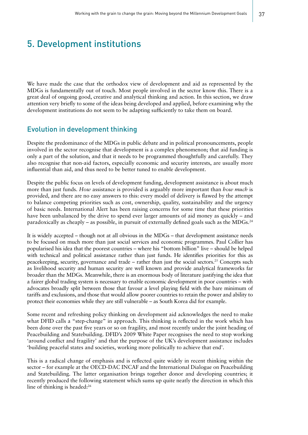# 5. Development institutions

We have made the case that the orthodox view of development and aid as represented by the MDGs is fundamentally out of touch. Most people involved in the sector know this. There is a great deal of ongoing good, creative and analytical thinking and action. In this section, we draw attention very briefly to some of the ideas being developed and applied, before examining why the development institutions do not seem to be adapting sufficiently to take them on board.

## Evolution in development thinking

Despite the predominance of the MDGs in public debate and in political pronouncements, people involved in the sector recognise that development is a complex phenomenon; that aid funding is only a part of the solution, and that it needs to be programmed thoughtfully and carefully. They also recognise that non-aid factors, especially economic and security interests, are usually more influential than aid, and thus need to be better tuned to enable development.

Despite the public focus on levels of development funding, development assistance is about much more than just funds. *How* assistance is provided is arguably more important than *how much* is provided, and there are no easy answers to this: every model of delivery is flawed by the attempt to balance competing priorities such as cost, ownership, quality, sustainability and the urgency of basic needs. International Alert has been raising concerns for some time that these priorities have been unbalanced by the drive to spend ever larger amounts of aid money as quickly – and paradoxically as cheaply – as possible, in pursuit of externally defined goals such as the MDGs.24

It is widely accepted – though not at all obvious in the MDGs – that development assistance needs to be focused on much more than just social services and economic programmes. Paul Collier has popularised his idea that the poorest countries – where his "bottom billion" live – should be helped with technical and political assistance rather than just funds. He identifies priorities for this as peacekeeping, security, governance and trade – rather than just the social sectors.<sup>25</sup> Concepts such as livelihood security and human security are well known and provide analytical frameworks far broader than the MDGs. Meanwhile, there is an enormous body of literature justifying the idea that a fairer global trading system is necessary to enable economic development in poor countries – with advocates broadly split between those that favour a level playing field with the bare minimum of tariffs and exclusions, and those that would allow poorer countries to retain the power and ability to protect their economies while they are still vulnerable – as South Korea did for example.

Some recent and refreshing policy thinking on development aid acknowledges the need to make what DFID calls a "step-change" in approach. This thinking is reflected in the work which has been done over the past five years or so on fragility, and most recently under the joint heading of Peacebuilding and Statebuilding. DFID's 2009 White Paper recognises the need to stop working 'around conflict and fragility' and that the purpose of the UK's development assistance includes 'building peaceful states and societies, working more politically to achieve that end'.

This is a radical change of emphasis and is reflected quite widely in recent thinking within the sector – for example at the OECD-DAC INCAF and the International Dialogue on Peacebuilding and Statebuilding. The latter organisation brings together donor and developing countries; it recently produced the following statement which sums up quite neatly the direction in which this line of thinking is headed:<sup>26</sup>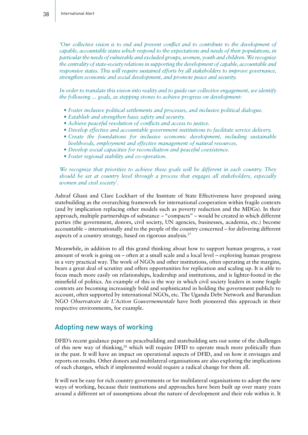*'Our collective vision is to end and prevent conflict and to contribute to the development of capable, accountable states which respond to the expectations and needs of their populations, in particular the needs of vulnerable and excluded groups, women, youth and children. We recognize the centrality of state-society relations in supporting the development of capable, accountable and responsive states. This will require sustained efforts by all stakeholders to improve governance, strengthen economic and social development, and promote peace and security.* 

*In order to translate this vision into reality and to guide our collective engagement, we identify the following ... goals, as stepping stones to achieve progress on development:* 

- *• Foster inclusive political settlements and processes, and inclusive political dialogue.*
- *• Establish and strengthen basic safety and security.*
- Achieve peaceful resolution of conflicts and access to justice.
- Develop effective and accountable government institutions to facilitate service delivery.
- *• Create the foundations for inclusive economic development, including sustainable livelihoods, employment and effective management of natural resources.*
- *• Develop social capacities for reconciliation and peaceful coexistence.*
- *• Foster regional stability and co-operation.*

*We recognize that priorities to achieve these goals will be different in each country. They should be set at country level through a process that engages all stakeholders, especially women and civil society'.*

Ashraf Ghani and Clare Lockhart of the Institute of State Effectiveness have proposed using statebuilding as the overarching framework for international cooperation within fragile contexts (and by implication replacing other models such as poverty reduction and the MDGs). In their approach, multiple partnerships of substance – "compacts" – would be created in which different parties (the government, donors, civil society, UN agencies, businesses, academia, etc.) become accountable – internationally and to the people of the country concerned – for delivering different aspects of a country strategy, based on rigorous analysis.27

Meanwhile, in addition to all this grand thinking about how to support human progress, a vast amount of work is going on – often at a small scale and a local level – exploring human progress in a very practical way. The work of NGOs and other institutions, often operating at the margins, bears a great deal of scrutiny and offers opportunities for replication and scaling up. It is able to focus much more easily on relationships, leadership and institutions, and is lighter-footed in the minefield of politics. An example of this is the way in which civil society leaders in some fragile contexts are becoming increasingly bold and sophisticated in holding the government publicly to account, often supported by international NGOs, etc. The Uganda Debt Network and Burundian NGO *Observatoire de L'Action Gouvernementale* have both pioneered this approach in their respective environments, for example.

#### Adopting new ways of working

DFID's recent guidance paper on peacebuilding and statebuilding sets out some of the challenges of this new way of thinking,<sup>28</sup> which will require DFID to operate much more politically than in the past. It will have an impact on operational aspects of DFID, and on how it envisages and reports on results. Other donors and multilateral organisations are also exploring the implications of such changes, which if implemented would require a radical change for them all.

It will not be easy for rich country governments or for multilateral organisations to adopt the new ways of working, because their institutions and approaches have been built up over many years around a different set of assumptions about the nature of development and their role within it. It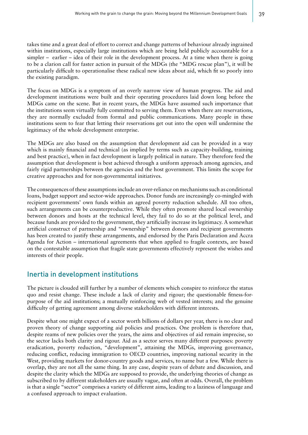takes time and a great deal of effort to correct and change patterns of behaviour already ingrained within institutions, especially large institutions which are being held publicly accountable for a simpler – earlier – idea of their role in the development process. At a time when there is going to be a clarion call for faster action in pursuit of the MDGs (the "MDG rescue plan"), it will be particularly difficult to operationalise these radical new ideas about aid, which fit so poorly into the existing paradigm.

The focus on MDGs is a symptom of an overly narrow view of human progress. The aid and development institutions were built and their operating procedures laid down long before the MDGs came on the scene. But in recent years, the MDGs have assumed such importance that the institutions seem virtually fully committed to serving them. Even when there are reservations, they are normally excluded from formal and public communications. Many people in these institutions seem to fear that letting their reservations get out into the open will undermine the legitimacy of the whole development enterprise.

The MDGs are also based on the assumption that development aid can be provided in a way which is mainly financial and technical (as implied by terms such as capacity-building, training and best practice), when in fact development is largely political in nature. They therefore feed the assumption that development is best achieved through a uniform approach among agencies, and fairly rigid partnerships between the agencies and the host government. This limits the scope for creative approaches and for non-governmental initiatives.

The consequences of these assumptions include an over-reliance on mechanisms such as conditional loans, budget support and sector-wide approaches. Donor funds are increasingly co-mingled with recipient governments' own funds within an agreed poverty reduction schedule. All too often, such arrangements can be counterproductive. While they often promote shared local ownership between donors and hosts at the technical level, they fail to do so at the political level, and because funds are provided to the government, they artificially increase its legitimacy. A somewhat artificial construct of partnership and "ownership" between donors and recipient governments has been created to justify these arrangements, and endorsed by the Paris Declaration and Accra Agenda for Action – international agreements that when applied to fragile contexts, are based on the contestable assumption that fragile state governments effectively represent the wishes and interests of their people.

#### Inertia in development institutions

The picture is clouded still further by a number of elements which conspire to reinforce the status quo and resist change. These include a lack of clarity and rigour; the questionable fitness-forpurpose of the aid institutions; a mutually reinforcing web of vested interests; and the genuine difficulty of getting agreement among diverse stakeholders with different interests.

Despite what one might expect of a sector worth billions of dollars per year, there is no clear and proven theory of change supporting aid policies and practices. One problem is therefore that, despite reams of new policies over the years, the aims and objectives of aid remain imprecise, so the sector lacks both clarity and rigour. Aid as a sector serves many different purposes: poverty eradication, poverty reduction, "development", attaining the MDGs, improving governance, reducing conflict, reducing immigration to OECD countries, improving national security in the West, providing markets for donor-country goods and services, to name but a few. While there is overlap, they are not all the same thing. In any case, despite years of debate and discussion, and despite the clarity which the MDGs are supposed to provide, the underlying theories of change as subscribed to by different stakeholders are usually vague, and often at odds. Overall, the problem is that a single "sector" comprises a variety of different aims, leading to a laziness of language and a confused approach to impact evaluation.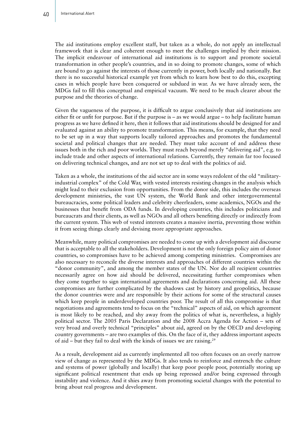The aid institutions employ excellent staff, but taken as a whole, do not apply an intellectual framework that is clear and coherent enough to meet the challenges implied by their mission. The implicit endeavour of international aid institutions is to support and promote societal transformation in other people's countries, and in so doing to promote changes, some of which are bound to go against the interests of those currently in power, both locally and nationally. But there is no successful historical example yet from which to learn how best to do this, excepting cases in which people have been conquered or subdued in war. As we have already seen, the MDGs fail to fill this conceptual and empirical vacuum. We need to be much clearer about the purpose and the theories of change.

Given the vagueness of the purpose, it is difficult to argue conclusively that aid institutions are either fit or unfit for purpose. But if the purpose is – as we would argue – to help facilitate human progress as we have defined it here, then it follows that aid institutions should be designed for and evaluated against an ability to promote transformation. This means, for example, that they need to be set up in a way that supports locally tailored approaches and promotes the fundamental societal and political changes that are needed. They must take account of and address these issues both in the rich and poor worlds. They must reach beyond merely "delivering aid", e.g. to include trade and other aspects of international relations. Currently, they remain far too focused on delivering technical changes, and are not set up to deal with the politics of aid.

Taken as a whole, the institutions of the aid sector are in some ways redolent of the old "militaryindustrial complex" of the Cold War, with vested interests resisting changes in the analysis which might lead to their exclusion from opportunities. From the donor side, this includes the overseas development ministries, the vast UN system, the World Bank and other intergovernmental bureaucracies, some political leaders and celebrity cheerleaders, some academics, NGOs and the businesses that benefit from ODA funds. In developing countries, this includes politicians and bureaucrats and their clients, as well as NGOs and all others benefiting directly or indirectly from the current system. This web of vested interests creates a massive inertia, preventing those within it from seeing things clearly and devising more appropriate approaches.

Meanwhile, many political compromises are needed to come up with a development aid discourse that is acceptable to all the stakeholders. Development is not the only foreign policy aim of donor countries, so compromises have to be achieved among competing ministries. Compromises are also necessary to reconcile the diverse interests and approaches of different countries within the "donor community", and among the member states of the UN. Nor do all recipient countries necessarily agree on how aid should be delivered, necessitating further compromises when they come together to sign international agreements and declarations concerning aid. All these compromises are further complicated by the shadows cast by history and geopolitics, because the donor countries were and are responsible by their actions for some of the structural causes which keep people in underdeveloped countries poor. The result of all this compromise is that negotiations and agreements tend to focus on the "technical" aspects of aid, on which agreement is most likely to be reached, and shy away from the politics of what is, nevertheless, a highly political sector. The 2005 Paris Declaration and the 2008 Accra Agenda for Action – sets of very broad and overly technical "principles" about aid, agreed on by the OECD and developing country governments – are two examples of this. On the face of it, they address important aspects of aid – but they fail to deal with the kinds of issues we are raising.29

As a result, development aid as currently implemented all too often focuses on an overly narrow view of change as represented by the MDGs. It also tends to reinforce and entrench the culture and systems of power (globally and locally) that keep poor people poor, potentially storing up significant political resentment that ends up being repressed and/or being expressed through instability and violence. And it shies away from promoting societal changes with the potential to bring about real progress and development.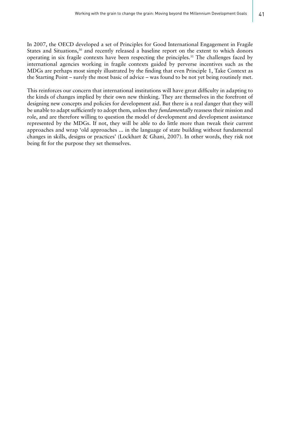In 2007, the OECD developed a set of Principles for Good International Engagement in Fragile States and Situations,<sup>30</sup> and recently released a baseline report on the extent to which donors operating in six fragile contexts have been respecting the principles.31 The challenges faced by international agencies working in fragile contexts guided by perverse incentives such as the MDGs are perhaps most simply illustrated by the finding that even Principle 1, Take Context as the Starting Point – surely the most basic of advice – was found to be not yet being routinely met.

This reinforces our concern that international institutions will have great difficulty in adapting to the kinds of changes implied by their own new thinking. They are themselves in the forefront of designing new concepts and policies for development aid. But there is a real danger that they will be unable to adapt sufficiently to adopt them, unless they *fundamentally* reassess their mission and role, and are therefore willing to question the model of development and development assistance represented by the MDGs. If not, they will be able to do little more than tweak their current approaches and wrap 'old approaches ... in the language of state building without fundamental changes in skills, designs or practices' (Lockhart & Ghani, 2007). In other words, they risk not being fit for the purpose they set themselves.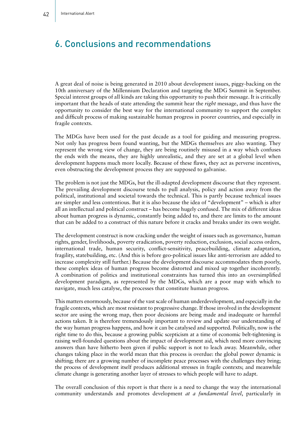# 6. Conclusions and recommendations

A great deal of noise is being generated in 2010 about development issues, piggy-backing on the 10th anniversary of the Millennium Declaration and targeting the MDG Summit in September. Special interest groups of all kinds are taking this opportunity to push their message. It is critically important that the heads of state attending the summit hear the *right* message, and thus have the opportunity to consider the best way for the international community to support the complex and difficult process of making sustainable human progress in poorer countries, and especially in fragile contexts.

The MDGs have been used for the past decade as a tool for guiding and measuring progress. Not only has progress been found wanting, but the MDGs themselves are also wanting. They represent the wrong view of change, they are being routinely misused in a way which confuses the ends with the means, they are highly unrealistic, and they are set at a global level when development happens much more locally. Because of these flaws, they act as perverse incentives, even obstructing the development process they are supposed to galvanise.

The problem is not just the MDGs, but the ill-adapted development discourse that they represent. The prevailing development discourse tends to pull analysis, policy and action away from the political, institutional and societal towards the technical. This is partly because technical issues are simpler and less contentious. But it is also because the idea of "development" – which is after all an intellectual and political construct – has become hugely confused. The mix of different ideas about human progress is dynamic, constantly being added to, and there are limits to the amount that can be added to a construct of this nature before it cracks and breaks under its own weight.

The development construct is now cracking under the weight of issues such as governance, human rights, gender, livelihoods, poverty eradication, poverty reduction, exclusion, social access orders, international trade, human security, conflict-sensitivity, peacebuilding, climate adaptation, fragility, statebuilding, etc. (And this is before geo-political issues like anti-terrorism are added to increase complexity still further.) Because the development discourse accommodates them poorly, these complex ideas of human progress become distorted and mixed up together incoherently. A combination of politics and institutional constraints has turned this into an oversimplified development paradigm, as represented by the MDGs, which are a poor map with which to navigate, much less catalyse, the processes that constitute human progress.

This matters enormously, because of the vast scale of human underdevelopment, and especially in the fragile contexts, which are most resistant to progressive change. If those involved in the development sector are using the wrong map, then poor decisions are being made and inadequate or harmful actions taken. It is therefore tremendously important to review and update our understanding of the way human progress happens, and how it can be catalysed and supported. Politically, now is the right time to do this, because a growing public scepticism at a time of economic belt-tightening is raising well-founded questions about the impact of development aid, which need more convincing answers than have hitherto been given if public support is not to leach away. Meanwhile, other changes taking place in the world mean that this process is overdue: the global power dynamic is shifting; there are a growing number of incomplete peace processes with the challenges they bring; the process of development itself produces additional stresses in fragile contexts; and meanwhile climate change is generating another layer of stresses to which people will have to adapt.

The overall conclusion of this report is that there is a need to change the way the international community understands and promotes development *at a fundamental level*, particularly in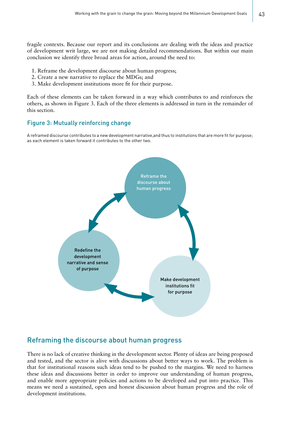fragile contexts. Because our report and its conclusions are dealing with the ideas and practice of development writ large, we are not making detailed recommendations. But within our main conclusion we identify three broad areas for action, around the need to:

- 1. Reframe the development discourse about human progress;
- 2. Create a new narrative to replace the MDGs; and
- 3. Make development institutions more fit for their purpose.

Each of these elements can be taken forward in a way which contributes to and reinforces the others, as shown in Figure 3. Each of the three elements is addressed in turn in the remainder of this section.

#### Figure 3: Mutually reinforcing change

A reframed discourse contributes to a new development narrative,and thus to institutions that are more fit for purpose; as each element is taken forward it contributes to the other two.



#### Reframing the discourse about human progress

There is no lack of creative thinking in the development sector. Plenty of ideas are being proposed and tested, and the sector is alive with discussions about better ways to work. The problem is that for institutional reasons such ideas tend to be pushed to the margins. We need to harness these ideas and discussions better in order to improve our understanding of human progress, and enable more appropriate policies and actions to be developed and put into practice. This means we need a sustained, open and honest discussion about human progress and the role of development institutions.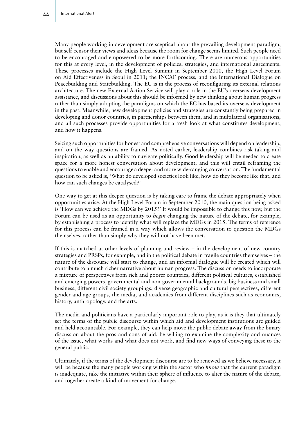Many people working in development are sceptical about the prevailing development paradigm, but self-censor their views and ideas because the room for change seems limited. Such people need to be encouraged and empowered to be more forthcoming. There are numerous opportunities for this at every level, in the development of policies, strategies, and international agreements. These processes include the High Level Summit in September 2010, the High Level Forum on Aid Effectiveness in Seoul in 2011; the INCAF process; and the International Dialogue on Peacebuilding and Statebuilding. The EU is in the process of reconfiguring its external relations architecture. The new External Action Service will play a role in the EU's overseas development assistance, and discussions about this should be informed by new thinking about human progress rather than simply adopting the paradigms on which the EC has based its overseas development in the past. Meanwhile, new development policies and strategies are constantly being prepared in developing and donor countries, in partnerships between them, and in multilateral organisations, and all such processes provide opportunities for a fresh look at what constitutes development, and how it happens.

Seizing such opportunities for honest and comprehensive conversations will depend on leadership, and on the way questions are framed. As noted earlier, leadership combines risk-taking and inspiration, as well as an ability to navigate politically. Good leadership will be needed to create space for a more honest conversation about development; and this will entail reframing the questions to enable and encourage a deeper and more wide-ranging conversation. The fundamental question to be asked is, 'What do developed societies look like, how do they become like that, and how can such changes be catalysed?'

One way to get at this deeper question is by taking care to frame the debate appropriately when opportunities arise. At the High Level Forum in September 2010, the main question being asked is 'How can we achieve the MDGs by 2015?' It would be impossible to change this now, but the Forum can be used as an opportunity to *begin* changing the nature of the debate, for example, by establishing a process to identify what will replace the MDGs in 2015. The terms of reference for this process can be framed in a way which allows the conversation to question the MDGs themselves, rather than simply why they will not have been met.

If this is matched at other levels of planning and review – in the development of new country strategies and PRSPs, for example, and in the political debate in fragile countries themselves – the nature of the discourse will start to change, and an informal dialogue will be created which will contribute to a much richer narrative about human progress. The discussion needs to incorporate a mixture of perspectives from rich and poorer countries, different political cultures, established and emerging powers, governmental and non-governmental backgrounds, big business and small business, different civil society groupings, diverse geographic and cultural perspectives, different gender and age groups, the media, and academics from different disciplines such as economics, history, anthropology, and the arts.

The media and politicians have a particularly important role to play, as it is they that ultimately set the terms of the public discourse within which aid and development institutions are guided and held accountable. For example, they can help move the public debate away from the binary discussion about the pros and cons of aid, be willing to examine the complexity and nuances of the issue, what works and what does not work, and find new ways of conveying these to the general public.

Ultimately, if the terms of the development discourse are to be renewed as we believe necessary, it will be because the many people working within the sector who *know* that the current paradigm is inadequate, take the initiative within their sphere of influence to alter the nature of the debate, and together create a kind of movement for change.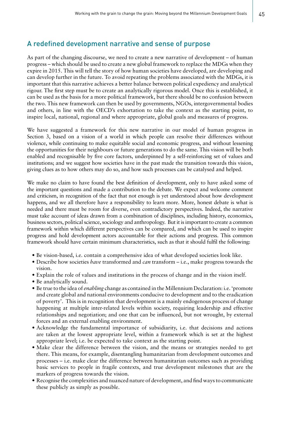## A redefined development narrative and sense of purpose

As part of the changing discourse, we need to create a new narrative of development – of human progress – which should be used to create a new global framework to replace the MDGs when they expire in 2015. This will tell the story of how human societies have developed, are developing and can develop further in the future. To avoid repeating the problems associated with the MDGs, it is important that this narrative achieves a better balance between political expediency and analytical rigour. The first step must be to create an analytically rigorous model. Once this is established, it can be used as the basis for a more political framework, but there should be no confusion between the two. This new framework can then be used by governments, NGOs, intergovernmental bodies and others, in line with the OECD's exhortation to take the context as the starting point, to inspire local, national, regional and where appropriate, global goals and measures of progress.

We have suggested a framework for this new narrative in our model of human progress in Section 3, based on a vision of a world in which people can resolve their differences without violence, while continuing to make equitable social and economic progress, and without lessening the opportunities for their neighbours or future generations to do the same. This vision will be both enabled and recognisable by five core factors, underpinned by a self-reinforcing set of values and institutions; and we suggest how societies have in the past made the transition towards this vision, giving clues as to how others may do so, and how such processes can be catalysed and helped.

We make no claim to have found the best definition of development, only to have asked some of the important questions and made a contribution to the debate. We expect and welcome comment and criticism, in recognition of the fact that not enough is yet understood about how development happens, and we all therefore have a responsibility to learn more. More, honest debate is what is needed and there must be room for diverse, even contradictory perspectives. Indeed, the narrative must take account of ideas drawn from a combination of disciplines, including history, economics, business sectors, political science, sociology and anthropology. But it is important to create a common framework within which different perspectives can be compared, and which can be used to inspire progress and hold development actors accountable for their actions and progress. This common framework should have certain minimum characteristics, such as that it should fulfil the following:

- Be vision-based, i.e. contain a comprehensive idea of what developed societies look like.
- • Describe how societies *have* transformed and *can* transform i.e., make progress towards the vision.
- Explain the role of values and institutions in the process of change and in the vision itself.
- Be analytically sound.
- • Be true to the idea of *enabling* change as contained in the Millennium Declaration: i.e. 'promote and create global and national environments conducive to development and to the eradication of poverty'. This is in recognition that development is a mainly endogenous process of change happening at multiple inter-related levels within society, requiring leadership and effective relationships and negotiation; and one that can be influenced, but not wrought, by external forces and an external enabling environment.
- Acknowledge the fundamental importance of subsidiarity, i.e. that decisions and actions are taken at the lowest appropriate level, within a framework which is set at the highest appropriate level; i.e. be expected to take context as the starting point.
- Make clear the difference between the vision, and the means or strategies needed to get there. This means, for example, disentangling humanitarian from development outcomes and processes – i.e. make clear the difference between humanitarian outcomes such as providing basic services to people in fragile contexts, and true development milestones that are the markers of progress towards the vision.
- Recognise the complexities and nuanced nature of development, and find ways to communicate these publicly as simply as possible.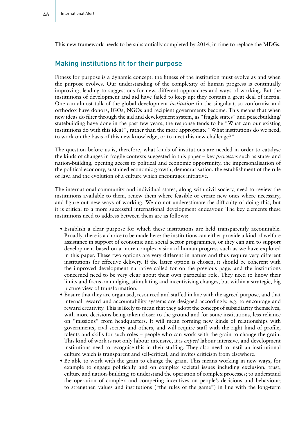This new framework needs to be substantially completed by 2014, in time to replace the MDGs.

#### Making institutions fit for their purpose

Fitness for purpose is a dynamic concept: the fitness of the institution must evolve as and when the purpose evolves. Our understanding of the complexity of human progress is continually improving, leading to suggestions for new, different approaches and ways of working. But the institutions of development and aid have failed to keep up: they contain a great deal of inertia. One can almost talk of the global development *institution* (in the singular), so conformist and orthodox have donors, IGOs, NGOs and recipient governments become. This means that when new ideas do filter through the aid and development system, as "fragile states" and peacebuilding/ statebuilding have done in the past few years, the response tends to be "What can our existing institutions do with this idea?", rather than the more appropriate "What institutions do we need, to work on the basis of this new knowledge, or to meet this new challenge?"

The question before us is, therefore, what kinds of institutions are needed in order to catalyse the kinds of changes in fragile contexts suggested in this paper – key *processes* such as state- and nation-building, opening access to political and economic opportunity, the impersonalisation of the political economy, sustained economic growth, democratisation, the establishment of the rule of law, and the evolution of a culture which encourages initiative.

The international community and individual states, along with civil society, need to review the institutions available to them, renew them where feasible or create new ones where necessary, and figure out new ways of working. We do not underestimate the difficulty of doing this, but it is critical to a more successful international development endeavour. The key elements these institutions need to address between them are as follows:

- Establish a clear purpose for which these institutions are held transparently accountable. Broadly, there is a choice to be made here: the institutions can either provide a kind of welfare assistance in support of economic and social sector programmes, or they can aim to support development based on a more complex vision of human progress such as we have explored in this paper. These two options are very different in nature and thus require very different institutions for effective delivery. If the latter option is chosen, it should be coherent with the improved development narrative called for on the previous page, and the institutions concerned need to be very clear about their own particular role. They need to know their limits and focus on nudging, stimulating and incentivising changes, but within a strategic, big picture view of transformation.
- Ensure that they are organised, resourced and staffed in line with the agreed purpose, and that internal reward and accountability systems are designed accordingly, e.g. to encourage and reward creativity. This is likely to mean that they adopt the concept of subsidiarity themselves, with more decisions being taken closer to the ground and for some institutions, less reliance on "missions" from headquarters. It will mean forming new kinds of relationships with governments, civil society and others, and will require staff with the right kind of profile, talents and skills for such roles – people who can work with the grain to change the grain. This kind of work is not only labour-intensive, it is *expert* labour-intensive, and development institutions need to recognise this in their staffing. They also need to instil an institutional culture which is transparent and self-critical, and invites criticism from elsewhere.
- Be able to work with the grain to change the grain. This means working in new ways, for example to engage politically and on complex societal issues including exclusion, trust, culture and nation-building; to understand the operation of complex processes; to understand the operation of complex and competing incentives on people's decisions and behaviour; to strengthen values and institutions ("the rules of the game") in line with the long-term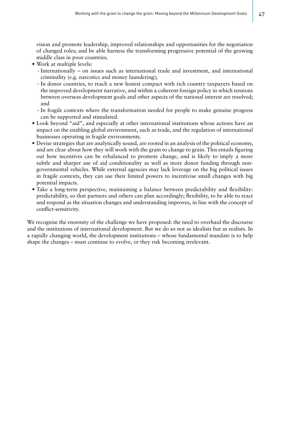vision and promote leadership, improved relationships and opportunities for the negotiation of changed roles; and be able harness the transforming progressive potential of the growing middle class in poor countries.

- • Work at multiple levels:
	- Internationally on issues such as international trade and investment, and international criminality (e.g. narcotics and money laundering);
	- In donor countries, to reach a new honest compact with rich country taxpayers based on the improved development narrative, and within a coherent foreign policy in which tensions between overseas development goals and other aspects of the national interest are resolved; and
	- In fragile contexts where the transformation needed for people to make genuine progress can be supported and stimulated.
- Look beyond "aid", and especially at other international institutions whose actions have an impact on the enabling global environment, such as trade, and the regulation of international businesses operating in fragile environments.
- Devise strategies that are analytically sound, are rooted in an analysis of the political economy, and are clear about how they will work with the grain to change to grain. This entails figuring out how incentives can be rebalanced to promote change, and is likely to imply a more subtle and sharper use of aid conditionality as well as more donor funding through nongovernmental vehicles. While external agencies may lack leverage on the big political issues in fragile contexts, they can use their limited powers to incentivise small changes with big potential impacts.
- Take a long-term perspective, maintaining a balance between predictability and flexibility: predictability, so that partners and others can plan accordingly; flexibility, to be able to react and respond as the situation changes and understanding improves, in line with the concept of conflict-sensitivity.

We recognise the enormity of the challenge we have proposed: the need to overhaul the discourse and the institutions of international development. But we do so not as idealists but as realists. In a rapidly changing world, the development institutions – whose fundamental mandate is to help shape the changes – must continue to evolve, or they risk becoming irrelevant.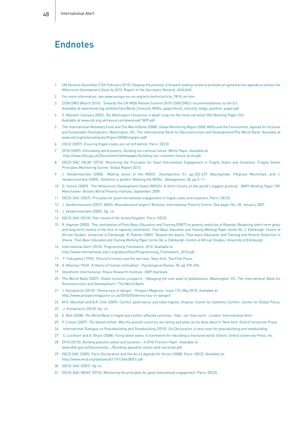# **Endnotes**

- 1 UN General Assembly (12th February 2010). *Keeping the promise: A forward-looking review to promote an agreed action agenda to achieve the Millennium Development Goals by 2015*. Report of the Secretary-General. A/64/665.
- 2 For more information, see www.europa-eu-un.org/articles/en/article\_7818\_en.htm
- 3 CONCORD (March 2010). 'Towards the UN MDG Review Summit 2010 CONCORD's recommendations to the EU'.
- Available at www.bond.org.uk/data/files/Bond\_Concord\_MDGs\_paper/bond\_concord\_mdgs\_position\_paper.pdf 4 S. Maxwell (January 2005). *The Washington Consensus is dead! Long live the meta-narrative!* ODI Working Paper 243.
- Available at www.odi.org.uk/resources/download/1809.pdf
- 5 The International Monetary Fund and The World Bank (2008). *Global Monitoring Report 2008: MDGs and the Environment, Agenda for Inclusive and Sustainable Development*. Washington, DC: The International Bank for Reconstruction and Development/The World Bank. Available at www.imf.org/external/pubs/ft/gmr/2008/eng/gmr.pdf
- 6 OECD (2007). *Ensuring fragile states are not left behind*. Paris: OECD.
- 7 DFID (2009). *Eliminating world poverty: Building our common future*. White Paper. Available at http://www.dfid.gov.uk/Documents/whitepaper/building-our-common-future-print.pdf
- 8 OECD-DAC INCAF (2010). *Monitoring the Principles for Good International Engagement in Fragile States and Situations.* Fragile States Principles Monitoring Survey: Global Report 2010.
- 9 J. Vandemoortele (2008). 'Making sense of the MDGS'. *Development,* 51, pp.220-227. Basingstoke: Palgrave Macmillan; and J. Vandermoortele (2005). 'Ambition is golden: Meeting the MDGs'. *Development,* 48, pp.5–11.
- 10 D. Hulme (2009). 'The Millennium Development Goals (MDGS): A short history of the world's biggest promise'. *BWPI Working Paper 100.* Manchester: Brooks World Poverty Institute, September 2009.
- 11 OECD-DAC (2007). *Principles for good international engagement in fragile states and situations*. Paris: OECD.
- 12 J. Vandermoortele (2007). *MDGs: Misunderstood targets?* Brasilia: International Poverty Centre. One pager No. 28. January 2007.
- 13 J. Vandermoortele (2005). Op. cit.
- 14 OECD-DAC (2010). *Peer review of the United Kingdom*. Paris: OECD.
- 15 R. Hayman (2005). 'The contribution of Post-Basic Education and Training (PBET) to poverty reduction in Rwanda: Balancing short-term goals and long-term visions in the face of capacity constraints'. Post-Basic Education and Training Working Paper Series No. 3. Edinburgh: Centre of African Studies, University of Edinburgh; R. Palmer (2005). **'**Beyond the basics: Post-basic Education and Training and Poverty Reduction in Ghana', *Post-Basic Education and Training Working Paper Series No. 4,* Edinburgh: Centre of African Studies, University of Edinburgh.
- 16 International Alert (2010). *Programming Framework, 2010*. Available at http://www.international-alert.org/about/files/Programming\_Framework\_2010.pdf
- 17 F. Fukuyama (1992). *The end of history and the last man*. New York: The Free Press.
- 18 A. Maslow (1943). 'A theory of human motivation'. *Psychological Review*, 50, pp.370-396.
- 19 Stockholm International Peace Research Institute. 2009 Yearbook.
- 20 The World Bank (2007)*. Global economic prospects Managing the next wave of globalisation.* Washington, DC: The International Bank for Reconstruction and Development / The World Bank.
- 21 J. Kurlantzick (2010). 'Democracy in danger'. *Prospect Magazine*, Issue 172, May 2010. Available at http://www.prospectmagazine.co.uk/2010/05/democracy-in-danger/
- 22 M.G. Marshall and B.R. Cole (2009). *Conflict, governance, and state fragility*. Virginia: Center for Systemic Conflict: Center for Global Policy.
- 23 J. Kurlantzick (2010). Op. cit.
- 24 E. Bell (2008). *The World Bank in fragile and conflict-affected countries: 'How', not 'how much'*. London: International Alert.
- 25 P. Collier (2007). *The bottom billion: Why the poorest countries are failing and what can be done about it. New York: Oxford University Press.*
- 26 International Dialogue on Peacebuilding and Statebuilding (2010). *Dili Declaration: A new vision for peacebuilding and statebuilding.*
- 27 C. Lockhart and A. Ghani (2008). *Fixing failed states: A framework for rebuilding a fractured world*. Oxford: Oxford University Press, Inc.
- 28 DFID (2010). *Building peaceful states and societies A DFID Practice Paper*. Available at www.dfid.gov.uk/Documents/.../Building-peaceful-states-and-societies.pdf
- 29 OECD DAC (2005). Paris Declaration and the Accra Agenda for Action (2008). Paris: OECD. Available at: http://www.oecd.org/dataoecd/11/41/34428351.pdf
- 30 OECD-DAC (2007). Op cit.
- 31 OECD-DAC INCAF (2010). *Monitoring the principles for good international engagement*. Paris: OECD.